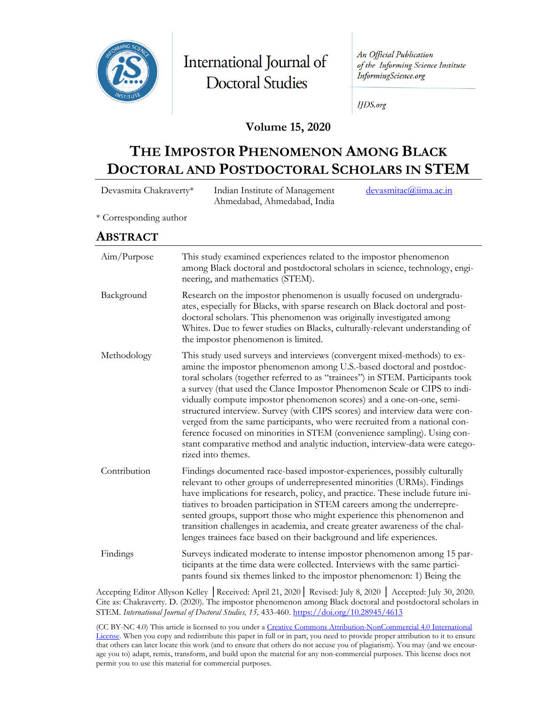

International Journal of **Doctoral Studies** 

An Official Publication of the Informing Science Institute InformingScience.org

**IJDS.org** 

### **Volume 15, 2020**

# **THE IMPOSTOR PHENOMENON AMONG BLACK DOCTORAL AND POSTDOCTORAL SCHOLARS IN STEM**

Devasmita Chakraverty\* Indian Institute of Management Ahmedabad, Ahmedabad, India [devasmitac@iima.ac.in](mailto:devasmitac@iima.ac.in) \* Corresponding author

### **ABSTRACT**

| Aim/Purpose  | This study examined experiences related to the impostor phenomenon<br>among Black doctoral and postdoctoral scholars in science, technology, engi-<br>neering, and mathematics (STEM).                                                                                                                                                                                                                                                                                                                                                                                                                                                                                                                                                  |
|--------------|-----------------------------------------------------------------------------------------------------------------------------------------------------------------------------------------------------------------------------------------------------------------------------------------------------------------------------------------------------------------------------------------------------------------------------------------------------------------------------------------------------------------------------------------------------------------------------------------------------------------------------------------------------------------------------------------------------------------------------------------|
| Background   | Research on the impostor phenomenon is usually focused on undergradu-<br>ates, especially for Blacks, with sparse research on Black doctoral and post-<br>doctoral scholars. This phenomenon was originally investigated among<br>Whites. Due to fewer studies on Blacks, culturally-relevant understanding of<br>the impostor phenomenon is limited.                                                                                                                                                                                                                                                                                                                                                                                   |
| Methodology  | This study used surveys and interviews (convergent mixed-methods) to ex-<br>amine the impostor phenomenon among U.S.-based doctoral and postdoc-<br>toral scholars (together referred to as "trainees") in STEM. Participants took<br>a survey (that used the Clance Impostor Phenomenon Scale or CIPS to indi-<br>vidually compute impostor phenomenon scores) and a one-on-one, semi-<br>structured interview. Survey (with CIPS scores) and interview data were con-<br>verged from the same participants, who were recruited from a national con-<br>ference focused on minorities in STEM (convenience sampling). Using con-<br>stant comparative method and analytic induction, interview-data were catego-<br>rized into themes. |
| Contribution | Findings documented race-based impostor-experiences, possibly culturally<br>relevant to other groups of underrepresented minorities (URMs). Findings<br>have implications for research, policy, and practice. These include future ini-<br>tiatives to broaden participation in STEM careers among the underrepre-<br>sented groups, support those who might experience this phenomenon and<br>transition challenges in academia, and create greater awareness of the chal-<br>lenges trainees face based on their background and life experiences.                                                                                                                                                                                     |
| Findings     | Surveys indicated moderate to intense impostor phenomenon among 15 par-<br>ticipants at the time data were collected. Interviews with the same partici-<br>pants found six themes linked to the impostor phenomenon: 1) Being the                                                                                                                                                                                                                                                                                                                                                                                                                                                                                                       |

Accepting Editor Allyson Kelley │Received: April 21, 2020│ Revised: July 8, 2020 │ Accepted: July 30, 2020. Cite as: Chakraverty. D. (2020). The impostor phenomenon among Black doctoral and postdoctoral scholars in STEM. *International Journal of Doctoral Studies, 15,* 433-460.<https://doi.org/10.28945/4613>

(CC BY-NC 4.0) This article is licensed to you under a Creative Commons Attribution-[NonCommercial 4.0 International](https://creativecommons.org/licenses/by-nc/4.0/)  [License](https://creativecommons.org/licenses/by-nc/4.0/). When you copy and redistribute this paper in full or in part, you need to provide proper attribution to it to ensure that others can later locate this work (and to ensure that others do not accuse you of plagiarism). You may (and we encourage you to) adapt, remix, transform, and build upon the material for any non-commercial purposes. This license does not permit you to use this material for commercial purposes.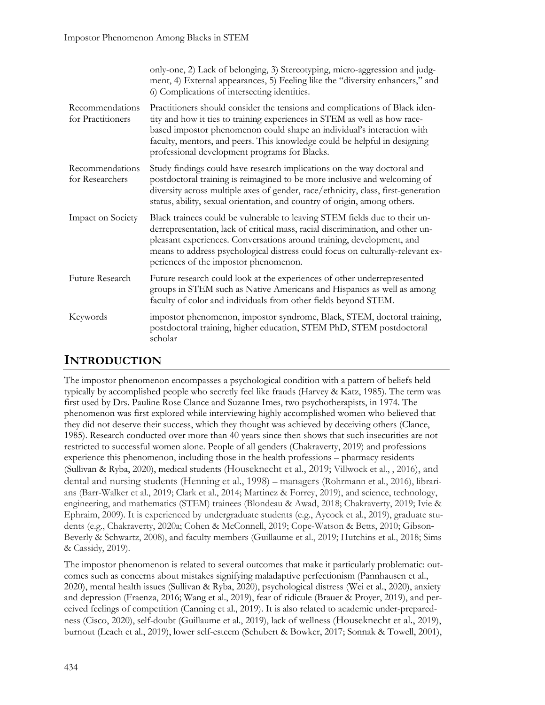|                                      | only-one, 2) Lack of belonging, 3) Stereotyping, micro-aggression and judg-<br>ment, 4) External appearances, 5) Feeling like the "diversity enhancers," and<br>6) Complications of intersecting identities.                                                                                                                                                     |
|--------------------------------------|------------------------------------------------------------------------------------------------------------------------------------------------------------------------------------------------------------------------------------------------------------------------------------------------------------------------------------------------------------------|
| Recommendations<br>for Practitioners | Practitioners should consider the tensions and complications of Black iden-<br>tity and how it ties to training experiences in STEM as well as how race-<br>based impostor phenomenon could shape an individual's interaction with<br>faculty, mentors, and peers. This knowledge could be helpful in designing<br>professional development programs for Blacks. |
| Recommendations<br>for Researchers   | Study findings could have research implications on the way doctoral and<br>postdoctoral training is reimagined to be more inclusive and welcoming of<br>diversity across multiple axes of gender, race/ethnicity, class, first-generation<br>status, ability, sexual orientation, and country of origin, among others.                                           |
| Impact on Society                    | Black trainees could be vulnerable to leaving STEM fields due to their un-<br>derrepresentation, lack of critical mass, racial discrimination, and other un-<br>pleasant experiences. Conversations around training, development, and<br>means to address psychological distress could focus on culturally-relevant ex-<br>periences of the impostor phenomenon. |
| Future Research                      | Future research could look at the experiences of other underrepresented<br>groups in STEM such as Native Americans and Hispanics as well as among<br>faculty of color and individuals from other fields beyond STEM.                                                                                                                                             |
| Keywords                             | impostor phenomenon, impostor syndrome, Black, STEM, doctoral training,<br>postdoctoral training, higher education, STEM PhD, STEM postdoctoral<br>scholar                                                                                                                                                                                                       |

### **INTRODUCTION**

The impostor phenomenon encompasses a psychological condition with a pattern of beliefs held typically by accomplished people who secretly feel like frauds (Harvey & Katz, 1985). The term was first used by Drs. Pauline Rose Clance and Suzanne Imes, two psychotherapists, in 1974. The phenomenon was first explored while interviewing highly accomplished women who believed that they did not deserve their success, which they thought was achieved by deceiving others (Clance, 1985). Research conducted over more than 40 years since then shows that such insecurities are not restricted to successful women alone. People of all genders (Chakraverty, 2019) and professions experience this phenomenon, including those in the health professions – pharmacy residents (Sullivan & Ryba, 2020), medical students (Houseknecht et al., 2019; Villwock et al., , 2016), and dental and nursing students (Henning et al., 1998) – managers (Rohrmann et al., 2016), librarians (Barr-Walker et al., 2019; Clark et al., 2014; Martinez & Forrey, 2019), and science, technology, engineering, and mathematics (STEM) trainees (Blondeau & Awad, 2018; Chakraverty, 2019; Ivie & Ephraim, 2009). It is experienced by undergraduate students (e.g., Aycock et al., 2019), graduate students (e.g., Chakraverty, 2020a; Cohen & McConnell, 2019; Cope-Watson & Betts, 2010; Gibson-Beverly & Schwartz, 2008), and faculty members (Guillaume et al., 2019; Hutchins et al., 2018; Sims & Cassidy, 2019).

The impostor phenomenon is related to several outcomes that make it particularly problematic: outcomes such as concerns about mistakes signifying maladaptive perfectionism (Pannhausen et al., 2020), mental health issues (Sullivan & Ryba, 2020), psychological distress (Wei et al., 2020), anxiety and depression (Fraenza, 2016; Wang et al., 2019), fear of ridicule (Brauer & Proyer, 2019), and perceived feelings of competition (Canning et al., 2019). It is also related to academic under-preparedness (Cisco, 2020), self-doubt (Guillaume et al., 2019), lack of wellness (Houseknecht et al., 2019), burnout (Leach et al., 2019), lower self-esteem (Schubert & Bowker, 2017; Sonnak & Towell, 2001),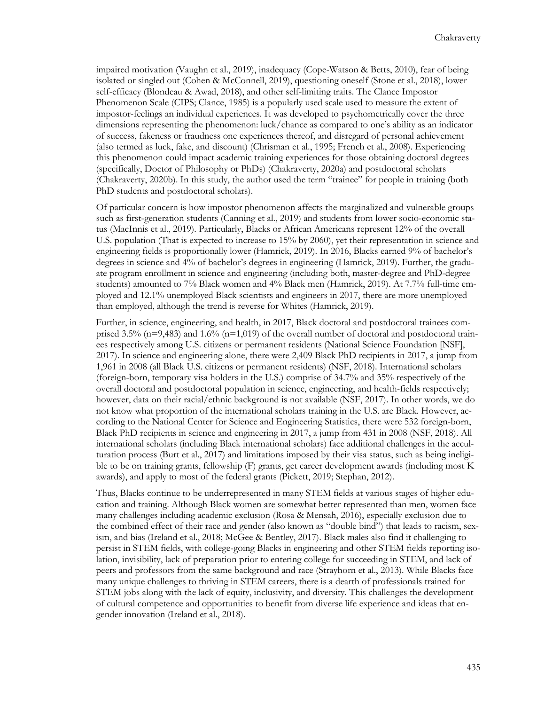impaired motivation (Vaughn et al., 2019), inadequacy (Cope-Watson & Betts, 2010), fear of being isolated or singled out (Cohen & McConnell, 2019), questioning oneself (Stone et al., 2018), lower self-efficacy (Blondeau & Awad, 2018), and other self-limiting traits. The Clance Impostor Phenomenon Scale (CIPS; Clance, 1985) is a popularly used scale used to measure the extent of impostor-feelings an individual experiences. It was developed to psychometrically cover the three dimensions representing the phenomenon: luck/chance as compared to one's ability as an indicator of success, fakeness or fraudness one experiences thereof, and disregard of personal achievement (also termed as luck, fake, and discount) (Chrisman et al., 1995; French et al., 2008). Experiencing this phenomenon could impact academic training experiences for those obtaining doctoral degrees (specifically, Doctor of Philosophy or PhDs) (Chakraverty, 2020a) and postdoctoral scholars (Chakraverty, 2020b). In this study, the author used the term "trainee" for people in training (both PhD students and postdoctoral scholars).

Of particular concern is how impostor phenomenon affects the marginalized and vulnerable groups such as first-generation students (Canning et al., 2019) and students from lower socio-economic status (MacInnis et al., 2019). Particularly, Blacks or African Americans represent 12% of the overall U.S. population (That is expected to increase to 15% by 2060), yet their representation in science and engineering fields is proportionally lower (Hamrick, 2019). In 2016, Blacks earned 9% of bachelor's degrees in science and 4% of bachelor's degrees in engineering (Hamrick, 2019). Further, the graduate program enrollment in science and engineering (including both, master-degree and PhD-degree students) amounted to 7% Black women and 4% Black men (Hamrick, 2019). At 7.7% full-time employed and 12.1% unemployed Black scientists and engineers in 2017, there are more unemployed than employed, although the trend is reverse for Whites (Hamrick, 2019).

Further, in science, engineering, and health, in 2017, Black doctoral and postdoctoral trainees comprised 3.5% (n=9,483) and 1.6% (n=1,019) of the overall number of doctoral and postdoctoral trainees respectively among U.S. citizens or permanent residents (National Science Foundation [NSF], 2017). In science and engineering alone, there were 2,409 Black PhD recipients in 2017, a jump from 1,961 in 2008 (all Black U.S. citizens or permanent residents) (NSF, 2018). International scholars (foreign-born, temporary visa holders in the U.S.) comprise of 34.7% and 35% respectively of the overall doctoral and postdoctoral population in science, engineering, and health-fields respectively; however, data on their racial/ethnic background is not available (NSF, 2017). In other words, we do not know what proportion of the international scholars training in the U.S. are Black. However, according to the National Center for Science and Engineering Statistics, there were 532 foreign-born, Black PhD recipients in science and engineering in 2017, a jump from 431 in 2008 (NSF, 2018). All international scholars (including Black international scholars) face additional challenges in the acculturation process (Burt et al., 2017) and limitations imposed by their visa status, such as being ineligible to be on training grants, fellowship (F) grants, get career development awards (including most K awards), and apply to most of the federal grants (Pickett, 2019; Stephan, 2012).

Thus, Blacks continue to be underrepresented in many STEM fields at various stages of higher education and training. Although Black women are somewhat better represented than men, women face many challenges including academic exclusion (Rosa & Mensah, 2016), especially exclusion due to the combined effect of their race and gender (also known as "double bind") that leads to racism, sexism, and bias (Ireland et al., 2018; McGee & Bentley, 2017). Black males also find it challenging to persist in STEM fields, with college-going Blacks in engineering and other STEM fields reporting isolation, invisibility, lack of preparation prior to entering college for succeeding in STEM, and lack of peers and professors from the same background and race (Strayhorn et al., 2013). While Blacks face many unique challenges to thriving in STEM careers, there is a dearth of professionals trained for STEM jobs along with the lack of equity, inclusivity, and diversity. This challenges the development of cultural competence and opportunities to benefit from diverse life experience and ideas that engender innovation (Ireland et al., 2018).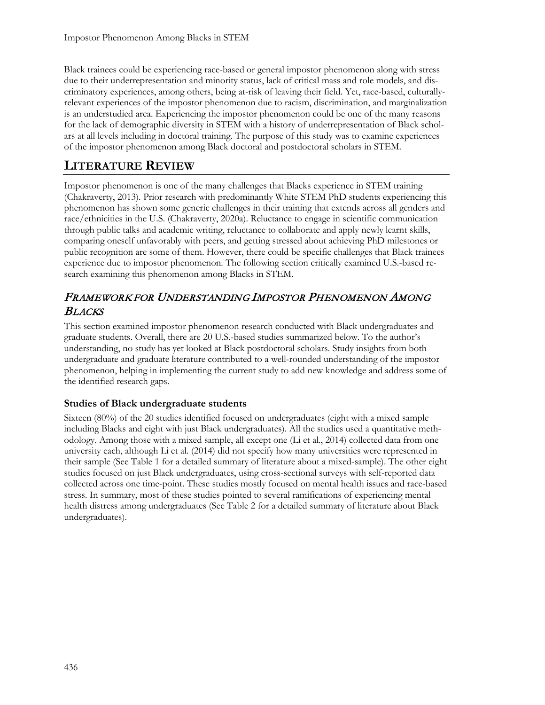Black trainees could be experiencing race-based or general impostor phenomenon along with stress due to their underrepresentation and minority status, lack of critical mass and role models, and discriminatory experiences, among others, being at-risk of leaving their field. Yet, race-based, culturallyrelevant experiences of the impostor phenomenon due to racism, discrimination, and marginalization is an understudied area. Experiencing the impostor phenomenon could be one of the many reasons for the lack of demographic diversity in STEM with a history of underrepresentation of Black scholars at all levels including in doctoral training. The purpose of this study was to examine experiences of the impostor phenomenon among Black doctoral and postdoctoral scholars in STEM.

### **LITERATURE REVIEW**

Impostor phenomenon is one of the many challenges that Blacks experience in STEM training (Chakraverty, 2013). Prior research with predominantly White STEM PhD students experiencing this phenomenon has shown some generic challenges in their training that extends across all genders and race/ethnicities in the U.S. (Chakraverty, 2020a). Reluctance to engage in scientific communication through public talks and academic writing, reluctance to collaborate and apply newly learnt skills, comparing oneself unfavorably with peers, and getting stressed about achieving PhD milestones or public recognition are some of them. However, there could be specific challenges that Black trainees experience due to impostor phenomenon. The following section critically examined U.S.-based research examining this phenomenon among Blacks in STEM.

### FRAMEWORK FOR UNDERSTANDING IMPOSTOR PHENOMENON AMONG **BLACKS**

This section examined impostor phenomenon research conducted with Black undergraduates and graduate students. Overall, there are 20 U.S.-based studies summarized below. To the author's understanding, no study has yet looked at Black postdoctoral scholars. Study insights from both undergraduate and graduate literature contributed to a well-rounded understanding of the impostor phenomenon, helping in implementing the current study to add new knowledge and address some of the identified research gaps.

#### **Studies of Black undergraduate students**

Sixteen (80%) of the 20 studies identified focused on undergraduates (eight with a mixed sample including Blacks and eight with just Black undergraduates). All the studies used a quantitative methodology. Among those with a mixed sample, all except one (Li et al., 2014) collected data from one university each, although Li et al. (2014) did not specify how many universities were represented in their sample (See Table 1 for a detailed summary of literature about a mixed-sample). The other eight studies focused on just Black undergraduates, using cross-sectional surveys with self-reported data collected across one time-point. These studies mostly focused on mental health issues and race-based stress. In summary, most of these studies pointed to several ramifications of experiencing mental health distress among undergraduates (See Table 2 for a detailed summary of literature about Black undergraduates).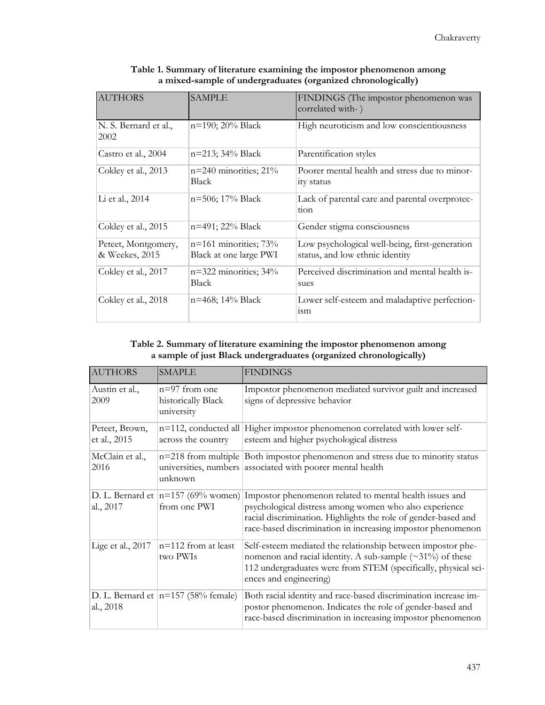| <b>AUTHORS</b>                        | <b>SAMPLE</b>                                     | FINDINGS (The impostor phenomenon was<br>correlated with-)                        |
|---------------------------------------|---------------------------------------------------|-----------------------------------------------------------------------------------|
| N. S. Bernard et al.,<br>2002         | n=190; 20% Black                                  | High neuroticism and low conscientiousness                                        |
| Castro et al., 2004                   | n=213; 34% Black                                  | Parentification styles                                                            |
| Cokley et al., 2013                   | $n=240$ minorities; $21\%$<br><b>Black</b>        | Poorer mental health and stress due to minor-<br>ity status                       |
| Li et al., 2014                       | $n=506$ ; 17% Black                               | Lack of parental care and parental overprotec-<br>tion                            |
| Cokley et al., 2015                   | n=491; 22% Black                                  | Gender stigma consciousness                                                       |
| Peteet, Montgomery,<br>& Weekes, 2015 | $n=161$ minorities; 73%<br>Black at one large PWI | Low psychological well-being, first-generation<br>status, and low ethnic identity |
| Cokley et al., 2017                   | $n=322$ minorities; $34\%$<br>Black               | Perceived discrimination and mental health is-<br>sues                            |
| Cokley et al., 2018                   | n=468; 14% Black                                  | Lower self-esteem and maladaptive perfection-<br>1 <sub>sm</sub>                  |

| Table 1. Summary of literature examining the impostor phenomenon among |
|------------------------------------------------------------------------|
| a mixed-sample of undergraduates (organized chronologically)           |

#### **Table 2. Summary of literature examining the impostor phenomenon among a sample of just Black undergraduates (organized chronologically)**

| <b>AUTHORS</b>                 | <b>SMAPLE</b>                                        | <b>FINDINGS</b>                                                                                                                                                                                                                                    |
|--------------------------------|------------------------------------------------------|----------------------------------------------------------------------------------------------------------------------------------------------------------------------------------------------------------------------------------------------------|
| Austin et al.,<br>2009         | $n=97$ from one<br>historically Black<br>university  | Impostor phenomenon mediated survivor guilt and increased<br>signs of depressive behavior                                                                                                                                                          |
| Peteet, Brown,<br>et al., 2015 | across the country                                   | n=112, conducted all Higher impostor phenomenon correlated with lower self-<br>esteem and higher psychological distress                                                                                                                            |
| McClain et al.,<br>2016        | unknown                                              | n=218 from multiple Both impostor phenomenon and stress due to minority status<br>universities, numbers associated with poorer mental health                                                                                                       |
| al., 2017                      | D. L. Bernard et $n=157$ (69% women)<br>from one PWI | Impostor phenomenon related to mental health issues and<br>psychological distress among women who also experience<br>racial discrimination. Highlights the role of gender-based and<br>race-based discrimination in increasing impostor phenomenon |
| Lige et al., 2017              | n=112 from at least<br>two PWIs                      | Self-esteem mediated the relationship between impostor phe-<br>nomenon and racial identity. A sub-sample $(\sim 31\%)$ of these<br>112 undergraduates were from STEM (specifically, physical sci-<br>ences and engineering)                        |
| al., 2018                      | D. L. Bernard et $n=157$ (58% female)                | Both racial identity and race-based discrimination increase im-<br>postor phenomenon. Indicates the role of gender-based and<br>race-based discrimination in increasing impostor phenomenon                                                        |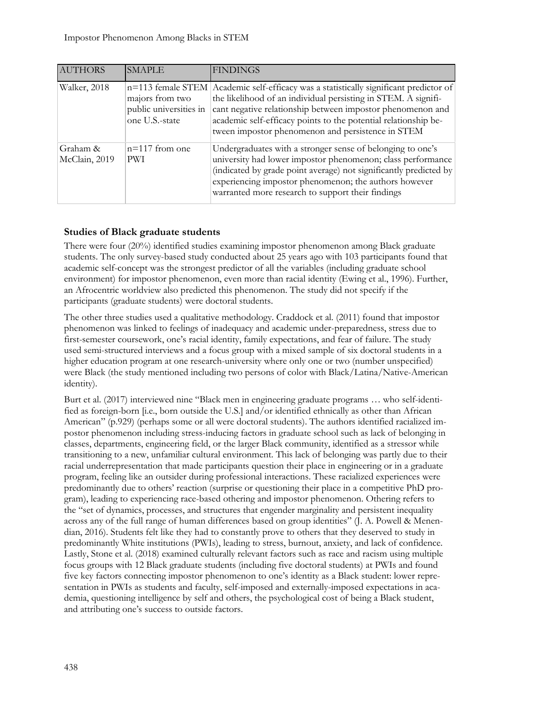| <b>AUTHORS</b>            | <b>SMAPLE</b>                                                                      | <b>FINDINGS</b>                                                                                                                                                                                                                                                                                                             |
|---------------------------|------------------------------------------------------------------------------------|-----------------------------------------------------------------------------------------------------------------------------------------------------------------------------------------------------------------------------------------------------------------------------------------------------------------------------|
| Walker, 2018              | $n=113$ female STEM<br>majors from two<br>public universities in<br>one U.S.-state | Academic self-efficacy was a statistically significant predictor of<br>the likelihood of an individual persisting in STEM. A signifi-<br>cant negative relationship between impostor phenomenon and<br>academic self-efficacy points to the potential relationship be-<br>tween impostor phenomenon and persistence in STEM |
| Graham &<br>McClain, 2019 | $n=117$ from one<br><b>PWI</b>                                                     | Undergraduates with a stronger sense of belonging to one's<br>university had lower impostor phenomenon; class performance<br>(indicated by grade point average) not significantly predicted by<br>experiencing impostor phenomenon; the authors however<br>warranted more research to support their findings                |

#### **Studies of Black graduate students**

There were four (20%) identified studies examining impostor phenomenon among Black graduate students. The only survey-based study conducted about 25 years ago with 103 participants found that academic self-concept was the strongest predictor of all the variables (including graduate school environment) for impostor phenomenon, even more than racial identity (Ewing et al., 1996). Further, an Afrocentric worldview also predicted this phenomenon. The study did not specify if the participants (graduate students) were doctoral students.

The other three studies used a qualitative methodology. Craddock et al. (2011) found that impostor phenomenon was linked to feelings of inadequacy and academic under-preparedness, stress due to first-semester coursework, one's racial identity, family expectations, and fear of failure. The study used semi-structured interviews and a focus group with a mixed sample of six doctoral students in a higher education program at one research-university where only one or two (number unspecified) were Black (the study mentioned including two persons of color with Black/Latina/Native-American identity).

Burt et al. (2017) interviewed nine "Black men in engineering graduate programs … who self-identified as foreign-born [i.e., born outside the U.S.] and/or identified ethnically as other than African American" (p.929) (perhaps some or all were doctoral students). The authors identified racialized impostor phenomenon including stress-inducing factors in graduate school such as lack of belonging in classes, departments, engineering field, or the larger Black community, identified as a stressor while transitioning to a new, unfamiliar cultural environment. This lack of belonging was partly due to their racial underrepresentation that made participants question their place in engineering or in a graduate program, feeling like an outsider during professional interactions. These racialized experiences were predominantly due to others' reaction (surprise or questioning their place in a competitive PhD program), leading to experiencing race-based othering and impostor phenomenon. Othering refers to the "set of dynamics, processes, and structures that engender marginality and persistent inequality across any of the full range of human differences based on group identities" (J. A. Powell & Menendian, 2016). Students felt like they had to constantly prove to others that they deserved to study in predominantly White institutions (PWIs), leading to stress, burnout, anxiety, and lack of confidence. Lastly, Stone et al. (2018) examined culturally relevant factors such as race and racism using multiple focus groups with 12 Black graduate students (including five doctoral students) at PWIs and found five key factors connecting impostor phenomenon to one's identity as a Black student: lower representation in PWIs as students and faculty, self-imposed and externally-imposed expectations in academia, questioning intelligence by self and others, the psychological cost of being a Black student, and attributing one's success to outside factors.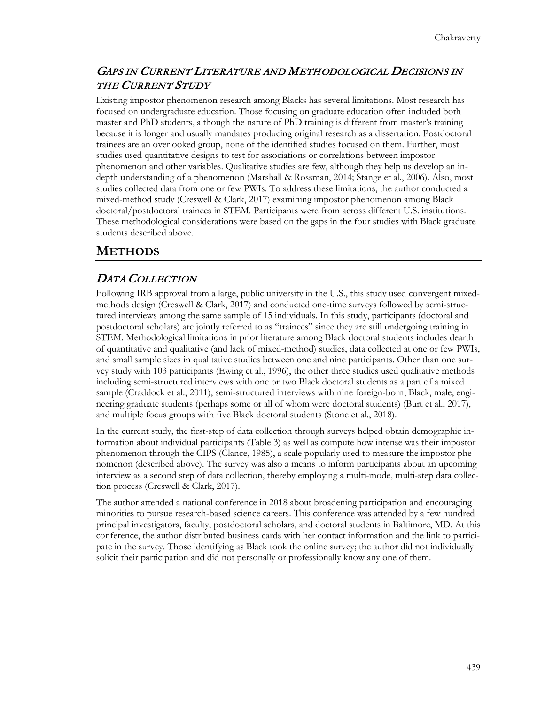### GAPS IN CURRENT LITERATURE AND METHODOLOGICAL DECISIONS IN THE CURRENT STUDY

Existing impostor phenomenon research among Blacks has several limitations. Most research has focused on undergraduate education. Those focusing on graduate education often included both master and PhD students, although the nature of PhD training is different from master's training because it is longer and usually mandates producing original research as a dissertation. Postdoctoral trainees are an overlooked group, none of the identified studies focused on them. Further, most studies used quantitative designs to test for associations or correlations between impostor phenomenon and other variables. Qualitative studies are few, although they help us develop an indepth understanding of a phenomenon (Marshall & Rossman, 2014; Stange et al., 2006). Also, most studies collected data from one or few PWIs. To address these limitations, the author conducted a mixed-method study (Creswell & Clark, 2017) examining impostor phenomenon among Black doctoral/postdoctoral trainees in STEM. Participants were from across different U.S. institutions. These methodological considerations were based on the gaps in the four studies with Black graduate students described above.

## **METHODS**

### DATA COLLECTION

Following IRB approval from a large, public university in the U.S., this study used convergent mixedmethods design (Creswell & Clark, 2017) and conducted one-time surveys followed by semi-structured interviews among the same sample of 15 individuals. In this study, participants (doctoral and postdoctoral scholars) are jointly referred to as "trainees" since they are still undergoing training in STEM. Methodological limitations in prior literature among Black doctoral students includes dearth of quantitative and qualitative (and lack of mixed-method) studies, data collected at one or few PWIs, and small sample sizes in qualitative studies between one and nine participants. Other than one survey study with 103 participants (Ewing et al., 1996), the other three studies used qualitative methods including semi-structured interviews with one or two Black doctoral students as a part of a mixed sample (Craddock et al., 2011), semi-structured interviews with nine foreign-born, Black, male, engineering graduate students (perhaps some or all of whom were doctoral students) (Burt et al., 2017), and multiple focus groups with five Black doctoral students (Stone et al., 2018).

In the current study, the first-step of data collection through surveys helped obtain demographic information about individual participants (Table 3) as well as compute how intense was their impostor phenomenon through the CIPS (Clance, 1985), a scale popularly used to measure the impostor phenomenon (described above). The survey was also a means to inform participants about an upcoming interview as a second step of data collection, thereby employing a multi-mode, multi-step data collection process (Creswell & Clark, 2017).

The author attended a national conference in 2018 about broadening participation and encouraging minorities to pursue research-based science careers. This conference was attended by a few hundred principal investigators, faculty, postdoctoral scholars, and doctoral students in Baltimore, MD. At this conference, the author distributed business cards with her contact information and the link to participate in the survey. Those identifying as Black took the online survey; the author did not individually solicit their participation and did not personally or professionally know any one of them.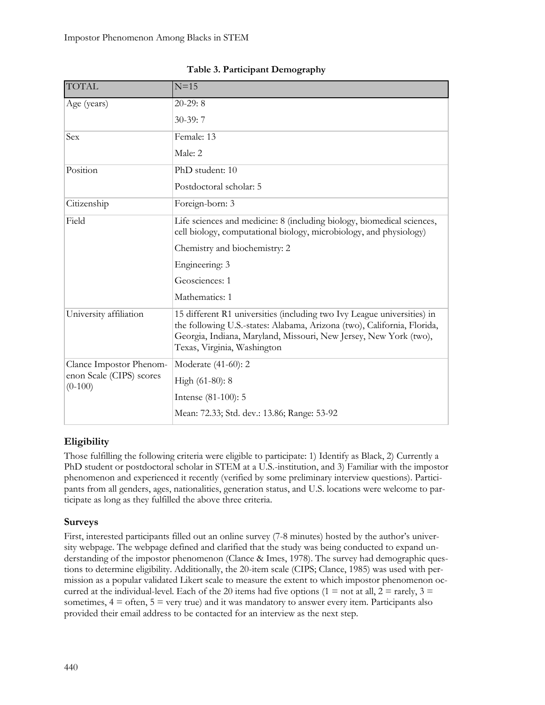| <b>TOTAL</b>                          | $N=15$                                                                                                                                                                                                                                                 |
|---------------------------------------|--------------------------------------------------------------------------------------------------------------------------------------------------------------------------------------------------------------------------------------------------------|
| Age (years)                           | $20-29:8$                                                                                                                                                                                                                                              |
|                                       | $30-39:7$                                                                                                                                                                                                                                              |
| Sex                                   | Female: 13                                                                                                                                                                                                                                             |
|                                       | Male: 2                                                                                                                                                                                                                                                |
| Position                              | PhD student: 10                                                                                                                                                                                                                                        |
|                                       | Postdoctoral scholar: 5                                                                                                                                                                                                                                |
| Citizenship                           | Foreign-born: 3                                                                                                                                                                                                                                        |
| Field                                 | Life sciences and medicine: 8 (including biology, biomedical sciences,<br>cell biology, computational biology, microbiology, and physiology)                                                                                                           |
|                                       | Chemistry and biochemistry: 2                                                                                                                                                                                                                          |
|                                       | Engineering: 3                                                                                                                                                                                                                                         |
|                                       | Geosciences: 1                                                                                                                                                                                                                                         |
|                                       | Mathematics: 1                                                                                                                                                                                                                                         |
| University affiliation                | 15 different R1 universities (including two Ivy League universities) in<br>the following U.S.-states: Alabama, Arizona (two), California, Florida,<br>Georgia, Indiana, Maryland, Missouri, New Jersey, New York (two),<br>Texas, Virginia, Washington |
| Clance Impostor Phenom-               | Moderate (41-60): 2                                                                                                                                                                                                                                    |
| enon Scale (CIPS) scores<br>$(0-100)$ | High (61-80): 8                                                                                                                                                                                                                                        |
|                                       | Intense (81-100): 5                                                                                                                                                                                                                                    |
|                                       | Mean: 72.33; Std. dev.: 13.86; Range: 53-92                                                                                                                                                                                                            |

**Table 3. Participant Demography**

### **Eligibility**

Those fulfilling the following criteria were eligible to participate: 1) Identify as Black, 2) Currently a PhD student or postdoctoral scholar in STEM at a U.S.-institution, and 3) Familiar with the impostor phenomenon and experienced it recently (verified by some preliminary interview questions). Participants from all genders, ages, nationalities, generation status, and U.S. locations were welcome to participate as long as they fulfilled the above three criteria.

### **Surveys**

First, interested participants filled out an online survey (7-8 minutes) hosted by the author's university webpage. The webpage defined and clarified that the study was being conducted to expand understanding of the impostor phenomenon (Clance & Imes, 1978). The survey had demographic questions to determine eligibility. Additionally, the 20-item scale (CIPS; Clance, 1985) was used with permission as a popular validated Likert scale to measure the extent to which impostor phenomenon occurred at the individual-level. Each of the 20 items had five options (1 = not at all, 2 = rarely, 3 = sometimes,  $4 =$  often,  $5 =$  very true) and it was mandatory to answer every item. Participants also provided their email address to be contacted for an interview as the next step.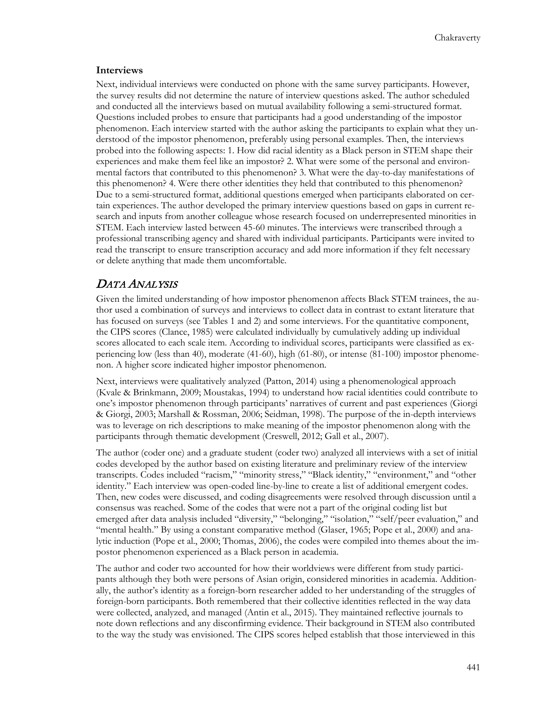#### **Interviews**

Next, individual interviews were conducted on phone with the same survey participants. However, the survey results did not determine the nature of interview questions asked. The author scheduled and conducted all the interviews based on mutual availability following a semi-structured format. Questions included probes to ensure that participants had a good understanding of the impostor phenomenon. Each interview started with the author asking the participants to explain what they understood of the impostor phenomenon, preferably using personal examples. Then, the interviews probed into the following aspects: 1. How did racial identity as a Black person in STEM shape their experiences and make them feel like an impostor? 2. What were some of the personal and environmental factors that contributed to this phenomenon? 3. What were the day-to-day manifestations of this phenomenon? 4. Were there other identities they held that contributed to this phenomenon? Due to a semi-structured format, additional questions emerged when participants elaborated on certain experiences. The author developed the primary interview questions based on gaps in current research and inputs from another colleague whose research focused on underrepresented minorities in STEM. Each interview lasted between 45-60 minutes. The interviews were transcribed through a professional transcribing agency and shared with individual participants. Participants were invited to read the transcript to ensure transcription accuracy and add more information if they felt necessary or delete anything that made them uncomfortable.

#### DATA ANALYSIS

Given the limited understanding of how impostor phenomenon affects Black STEM trainees, the author used a combination of surveys and interviews to collect data in contrast to extant literature that has focused on surveys (see Tables 1 and 2) and some interviews. For the quantitative component, the CIPS scores (Clance, 1985) were calculated individually by cumulatively adding up individual scores allocated to each scale item. According to individual scores, participants were classified as experiencing low (less than 40), moderate (41-60), high (61-80), or intense (81-100) impostor phenomenon. A higher score indicated higher impostor phenomenon.

Next, interviews were qualitatively analyzed (Patton, 2014) using a phenomenological approach (Kvale & Brinkmann, 2009; Moustakas, 1994) to understand how racial identities could contribute to one's impostor phenomenon through participants' narratives of current and past experiences (Giorgi & Giorgi, 2003; Marshall & Rossman, 2006; Seidman, 1998). The purpose of the in-depth interviews was to leverage on rich descriptions to make meaning of the impostor phenomenon along with the participants through thematic development (Creswell, 2012; Gall et al., 2007).

The author (coder one) and a graduate student (coder two) analyzed all interviews with a set of initial codes developed by the author based on existing literature and preliminary review of the interview transcripts. Codes included "racism," "minority stress," "Black identity," "environment," and "other identity." Each interview was open-coded line-by-line to create a list of additional emergent codes. Then, new codes were discussed, and coding disagreements were resolved through discussion until a consensus was reached. Some of the codes that were not a part of the original coding list but emerged after data analysis included "diversity," "belonging," "isolation," "self/peer evaluation," and "mental health." By using a constant comparative method (Glaser, 1965; Pope et al., 2000) and analytic induction (Pope et al., 2000; Thomas, 2006), the codes were compiled into themes about the impostor phenomenon experienced as a Black person in academia.

The author and coder two accounted for how their worldviews were different from study participants although they both were persons of Asian origin, considered minorities in academia. Additionally, the author's identity as a foreign-born researcher added to her understanding of the struggles of foreign-born participants. Both remembered that their collective identities reflected in the way data were collected, analyzed, and managed (Antin et al., 2015). They maintained reflective journals to note down reflections and any disconfirming evidence. Their background in STEM also contributed to the way the study was envisioned. The CIPS scores helped establish that those interviewed in this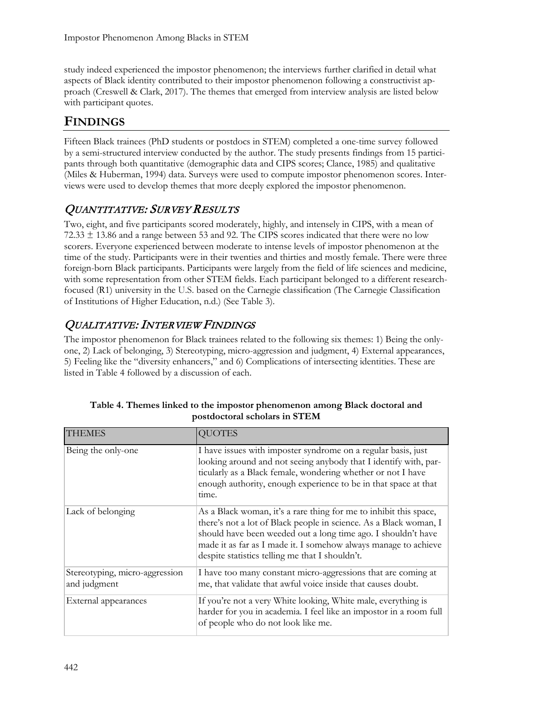study indeed experienced the impostor phenomenon; the interviews further clarified in detail what aspects of Black identity contributed to their impostor phenomenon following a constructivist approach (Creswell & Clark, 2017). The themes that emerged from interview analysis are listed below with participant quotes.

## **FINDINGS**

Fifteen Black trainees (PhD students or postdocs in STEM) completed a one-time survey followed by a semi-structured interview conducted by the author. The study presents findings from 15 participants through both quantitative (demographic data and CIPS scores; Clance, 1985) and qualitative (Miles & Huberman, 1994) data. Surveys were used to compute impostor phenomenon scores. Interviews were used to develop themes that more deeply explored the impostor phenomenon.

### QUANTITATIVE: SURVEY RESULTS

Two, eight, and five participants scored moderately, highly, and intensely in CIPS, with a mean of 72.33 ± 13.86 and a range between 53 and 92. The CIPS scores indicated that there were no low scorers. Everyone experienced between moderate to intense levels of impostor phenomenon at the time of the study. Participants were in their twenties and thirties and mostly female. There were three foreign-born Black participants. Participants were largely from the field of life sciences and medicine, with some representation from other STEM fields. Each participant belonged to a different researchfocused (R1) university in the U.S. based on the Carnegie classification (The Carnegie Classification of Institutions of Higher Education, n.d.) (See Table 3).

### QUALITATIVE: INTERVIEW FINDINGS

The impostor phenomenon for Black trainees related to the following six themes: 1) Being the onlyone, 2) Lack of belonging, 3) Stereotyping, micro-aggression and judgment, 4) External appearances, 5) Feeling like the "diversity enhancers," and 6) Complications of intersecting identities. These are listed in Table 4 followed by a discussion of each.

| <b>THEMES</b>                                  | <b>QUOTES</b>                                                                                                                                                                                                                                                                                                                 |
|------------------------------------------------|-------------------------------------------------------------------------------------------------------------------------------------------------------------------------------------------------------------------------------------------------------------------------------------------------------------------------------|
| Being the only-one                             | I have issues with imposter syndrome on a regular basis, just<br>looking around and not seeing anybody that I identify with, par-<br>ticularly as a Black female, wondering whether or not I have<br>enough authority, enough experience to be in that space at that<br>time.                                                 |
| Lack of belonging                              | As a Black woman, it's a rare thing for me to inhibit this space,<br>there's not a lot of Black people in science. As a Black woman, I<br>should have been weeded out a long time ago. I shouldn't have<br>made it as far as I made it. I somehow always manage to achieve<br>despite statistics telling me that I shouldn't. |
| Stereotyping, micro-aggression<br>and judgment | I have too many constant micro-aggressions that are coming at<br>me, that validate that awful voice inside that causes doubt.                                                                                                                                                                                                 |
| External appearances                           | If you're not a very White looking, White male, everything is<br>harder for you in academia. I feel like an impostor in a room full<br>of people who do not look like me.                                                                                                                                                     |

|  |                               | Table 4. Themes linked to the impostor phenomenon among Black doctoral and |  |
|--|-------------------------------|----------------------------------------------------------------------------|--|
|  | postdoctoral scholars in STEM |                                                                            |  |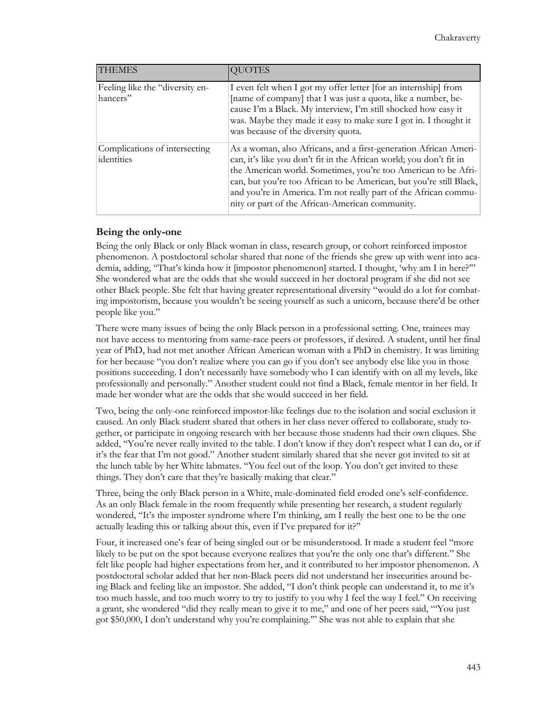| <b>THEMES</b>                               | QUOTES                                                                                                                                                                                                                                                                                                                                                                                                  |
|---------------------------------------------|---------------------------------------------------------------------------------------------------------------------------------------------------------------------------------------------------------------------------------------------------------------------------------------------------------------------------------------------------------------------------------------------------------|
| Feeling like the "diversity en-<br>hancers" | I even felt when I got my offer letter [for an internship] from<br>[name of company] that I was just a quota, like a number, be-<br>cause I'm a Black. My interview, I'm still shocked how easy it<br>was. Maybe they made it easy to make sure I got in. I thought it<br>was because of the diversity quota.                                                                                           |
| Complications of intersecting<br>identities | As a woman, also Africans, and a first-generation African Ameri-<br>can, it's like you don't fit in the African world; you don't fit in<br>the American world. Sometimes, you're too American to be Afri-<br>can, but you're too African to be American, but you're still Black,<br>and you're in America. I'm not really part of the African commu-<br>nity or part of the African-American community. |

#### **Being the only-one**

Being the only Black or only Black woman in class, research group, or cohort reinforced impostor phenomenon. A postdoctoral scholar shared that none of the friends she grew up with went into academia, adding, "That's kinda how it [impostor phenomenon] started. I thought, 'why am I in here?'" She wondered what are the odds that she would succeed in her doctoral program if she did not see other Black people. She felt that having greater representational diversity "would do a lot for combating impostorism, because you wouldn't be seeing yourself as such a unicorn, because there'd be other people like you."

There were many issues of being the only Black person in a professional setting. One, trainees may not have access to mentoring from same-race peers or professors, if desired. A student, until her final year of PhD, had not met another African American woman with a PhD in chemistry. It was limiting for her because "you don't realize where you can go if you don't see anybody else like you in those positions succeeding. I don't necessarily have somebody who I can identify with on all my levels, like professionally and personally." Another student could not find a Black, female mentor in her field. It made her wonder what are the odds that she would succeed in her field.

Two, being the only-one reinforced impostor-like feelings due to the isolation and social exclusion it caused. An only Black student shared that others in her class never offered to collaborate, study together, or participate in ongoing research with her because those students had their own cliques. She added, "You're never really invited to the table. I don't know if they don't respect what I can do, or if it's the fear that I'm not good." Another student similarly shared that she never got invited to sit at the lunch table by her White labmates. "You feel out of the loop. You don't get invited to these things. They don't care that they're basically making that clear."

Three, being the only Black person in a White, male-dominated field eroded one's self-confidence. As an only Black female in the room frequently while presenting her research, a student regularly wondered, "It's the imposter syndrome where I'm thinking, am I really the best one to be the one actually leading this or talking about this, even if I've prepared for it?"

Four, it increased one's fear of being singled out or be misunderstood. It made a student feel "more likely to be put on the spot because everyone realizes that you're the only one that's different." She felt like people had higher expectations from her, and it contributed to her impostor phenomenon. A postdoctoral scholar added that her non-Black peers did not understand her insecurities around being Black and feeling like an impostor. She added, "I don't think people can understand it, to me it's too much hassle, and too much worry to try to justify to you why I feel the way I feel." On receiving a grant, she wondered "did they really mean to give it to me," and one of her peers said, "'You just got \$50,000, I don't understand why you're complaining.'" She was not able to explain that she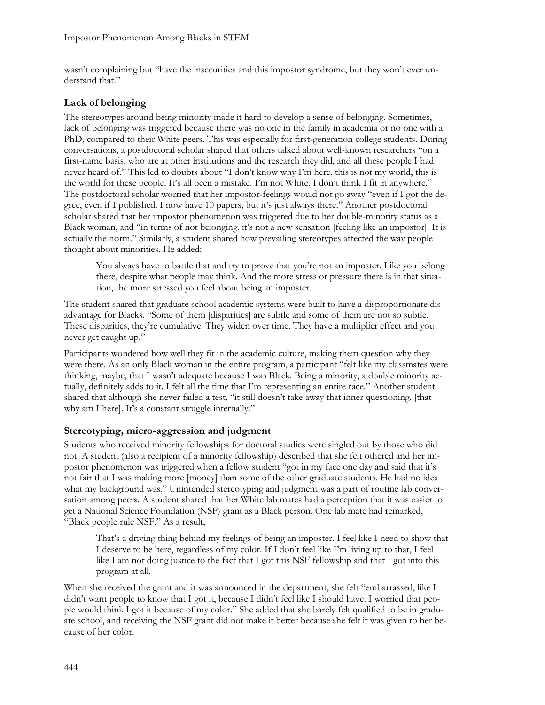wasn't complaining but "have the insecurities and this impostor syndrome, but they won't ever understand that."

#### **Lack of belonging**

The stereotypes around being minority made it hard to develop a sense of belonging. Sometimes, lack of belonging was triggered because there was no one in the family in academia or no one with a PhD, compared to their White peers. This was especially for first-generation college students. During conversations, a postdoctoral scholar shared that others talked about well-known researchers "on a first-name basis, who are at other institutions and the research they did, and all these people I had never heard of." This led to doubts about "I don't know why I'm here, this is not my world, this is the world for these people. It's all been a mistake. I'm not White. I don't think I fit in anywhere." The postdoctoral scholar worried that her impostor-feelings would not go away "even if I got the degree, even if I published. I now have 10 papers, but it's just always there." Another postdoctoral scholar shared that her impostor phenomenon was triggered due to her double-minority status as a Black woman, and "in terms of not belonging, it's not a new sensation [feeling like an impostor]. It is actually the norm." Similarly, a student shared how prevailing stereotypes affected the way people thought about minorities. He added:

You always have to battle that and try to prove that you're not an imposter. Like you belong there, despite what people may think. And the more stress or pressure there is in that situation, the more stressed you feel about being an imposter.

The student shared that graduate school academic systems were built to have a disproportionate disadvantage for Blacks. "Some of them [disparities] are subtle and some of them are not so subtle. These disparities, they're cumulative. They widen over time. They have a multiplier effect and you never get caught up."

Participants wondered how well they fit in the academic culture, making them question why they were there. As an only Black woman in the entire program, a participant "felt like my classmates were thinking, maybe, that I wasn't adequate because I was Black. Being a minority, a double minority actually, definitely adds to it. I felt all the time that I'm representing an entire race." Another student shared that although she never failed a test, "it still doesn't take away that inner questioning. [that why am I here]. It's a constant struggle internally."

#### **Stereotyping, micro-aggression and judgment**

Students who received minority fellowships for doctoral studies were singled out by those who did not. A student (also a recipient of a minority fellowship) described that she felt othered and her impostor phenomenon was triggered when a fellow student "got in my face one day and said that it's not fair that I was making more [money] than some of the other graduate students. He had no idea what my background was." Unintended stereotyping and judgment was a part of routine lab conversation among peers. A student shared that her White lab mates had a perception that it was easier to get a National Science Foundation (NSF) grant as a Black person. One lab mate had remarked, "Black people rule NSF." As a result,

That's a driving thing behind my feelings of being an imposter. I feel like I need to show that I deserve to be here, regardless of my color. If I don't feel like I'm living up to that, I feel like I am not doing justice to the fact that I got this NSF fellowship and that I got into this program at all.

When she received the grant and it was announced in the department, she felt "embarrassed, like I didn't want people to know that I got it, because I didn't feel like I should have. I worried that people would think I got it because of my color." She added that she barely felt qualified to be in graduate school, and receiving the NSF grant did not make it better because she felt it was given to her because of her color.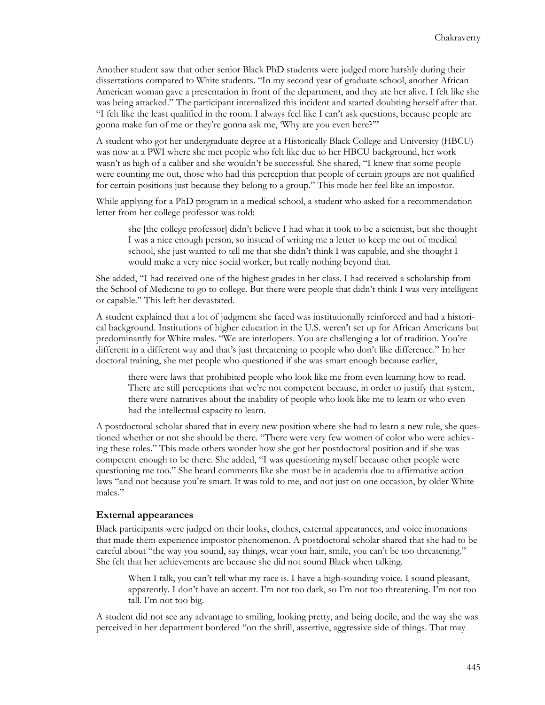Another student saw that other senior Black PhD students were judged more harshly during their dissertations compared to White students. "In my second year of graduate school, another African American woman gave a presentation in front of the department, and they ate her alive. I felt like she was being attacked." The participant internalized this incident and started doubting herself after that. "I felt like the least qualified in the room. I always feel like I can't ask questions, because people are gonna make fun of me or they're gonna ask me, 'Why are you even here?'"

A student who got her undergraduate degree at a Historically Black College and University (HBCU) was now at a PWI where she met people who felt like due to her HBCU background, her work wasn't as high of a caliber and she wouldn't be successful. She shared, "I knew that some people were counting me out, those who had this perception that people of certain groups are not qualified for certain positions just because they belong to a group." This made her feel like an impostor.

While applying for a PhD program in a medical school, a student who asked for a recommendation letter from her college professor was told:

she [the college professor] didn't believe I had what it took to be a scientist, but she thought I was a nice enough person, so instead of writing me a letter to keep me out of medical school, she just wanted to tell me that she didn't think I was capable, and she thought I would make a very nice social worker, but really nothing beyond that.

She added, "I had received one of the highest grades in her class. I had received a scholarship from the School of Medicine to go to college. But there were people that didn't think I was very intelligent or capable." This left her devastated.

A student explained that a lot of judgment she faced was institutionally reinforced and had a historical background. Institutions of higher education in the U.S. weren't set up for African Americans but predominantly for White males. "We are interlopers. You are challenging a lot of tradition. You're different in a different way and that's just threatening to people who don't like difference." In her doctoral training, she met people who questioned if she was smart enough because earlier,

there were laws that prohibited people who look like me from even learning how to read. There are still perceptions that we're not competent because, in order to justify that system, there were narratives about the inability of people who look like me to learn or who even had the intellectual capacity to learn.

A postdoctoral scholar shared that in every new position where she had to learn a new role, she questioned whether or not she should be there. "There were very few women of color who were achieving these roles." This made others wonder how she got her postdoctoral position and if she was competent enough to be there. She added, "I was questioning myself because other people were questioning me too." She heard comments like she must be in academia due to affirmative action laws "and not because you're smart. It was told to me, and not just on one occasion, by older White males."

#### **External appearances**

Black participants were judged on their looks, clothes, external appearances, and voice intonations that made them experience impostor phenomenon. A postdoctoral scholar shared that she had to be careful about "the way you sound, say things, wear your hair, smile, you can't be too threatening." She felt that her achievements are because she did not sound Black when talking.

When I talk, you can't tell what my race is. I have a high-sounding voice. I sound pleasant, apparently. I don't have an accent. I'm not too dark, so I'm not too threatening. I'm not too tall. I'm not too big.

A student did not see any advantage to smiling, looking pretty, and being docile, and the way she was perceived in her department bordered "on the shrill, assertive, aggressive side of things. That may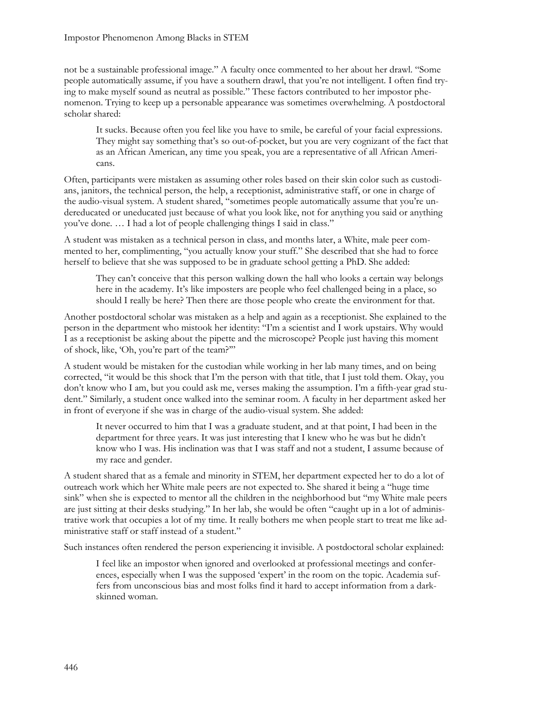not be a sustainable professional image." A faculty once commented to her about her drawl. "Some people automatically assume, if you have a southern drawl, that you're not intelligent. I often find trying to make myself sound as neutral as possible." These factors contributed to her impostor phenomenon. Trying to keep up a personable appearance was sometimes overwhelming. A postdoctoral scholar shared:

It sucks. Because often you feel like you have to smile, be careful of your facial expressions. They might say something that's so out-of-pocket, but you are very cognizant of the fact that as an African American, any time you speak, you are a representative of all African Americans.

Often, participants were mistaken as assuming other roles based on their skin color such as custodians, janitors, the technical person, the help, a receptionist, administrative staff, or one in charge of the audio-visual system. A student shared, "sometimes people automatically assume that you're undereducated or uneducated just because of what you look like, not for anything you said or anything you've done. … I had a lot of people challenging things I said in class."

A student was mistaken as a technical person in class, and months later, a White, male peer commented to her, complimenting, "you actually know your stuff." She described that she had to force herself to believe that she was supposed to be in graduate school getting a PhD. She added:

They can't conceive that this person walking down the hall who looks a certain way belongs here in the academy. It's like imposters are people who feel challenged being in a place, so should I really be here? Then there are those people who create the environment for that.

Another postdoctoral scholar was mistaken as a help and again as a receptionist. She explained to the person in the department who mistook her identity: "I'm a scientist and I work upstairs. Why would I as a receptionist be asking about the pipette and the microscope? People just having this moment of shock, like, 'Oh, you're part of the team?'"

A student would be mistaken for the custodian while working in her lab many times, and on being corrected, "it would be this shock that I'm the person with that title, that I just told them. Okay, you don't know who I am, but you could ask me, verses making the assumption. I'm a fifth-year grad student." Similarly, a student once walked into the seminar room. A faculty in her department asked her in front of everyone if she was in charge of the audio-visual system. She added:

It never occurred to him that I was a graduate student, and at that point, I had been in the department for three years. It was just interesting that I knew who he was but he didn't know who I was. His inclination was that I was staff and not a student, I assume because of my race and gender.

A student shared that as a female and minority in STEM, her department expected her to do a lot of outreach work which her White male peers are not expected to. She shared it being a "huge time sink" when she is expected to mentor all the children in the neighborhood but "my White male peers are just sitting at their desks studying." In her lab, she would be often "caught up in a lot of administrative work that occupies a lot of my time. It really bothers me when people start to treat me like administrative staff or staff instead of a student."

Such instances often rendered the person experiencing it invisible. A postdoctoral scholar explained:

I feel like an impostor when ignored and overlooked at professional meetings and conferences, especially when I was the supposed 'expert' in the room on the topic. Academia suffers from unconscious bias and most folks find it hard to accept information from a darkskinned woman.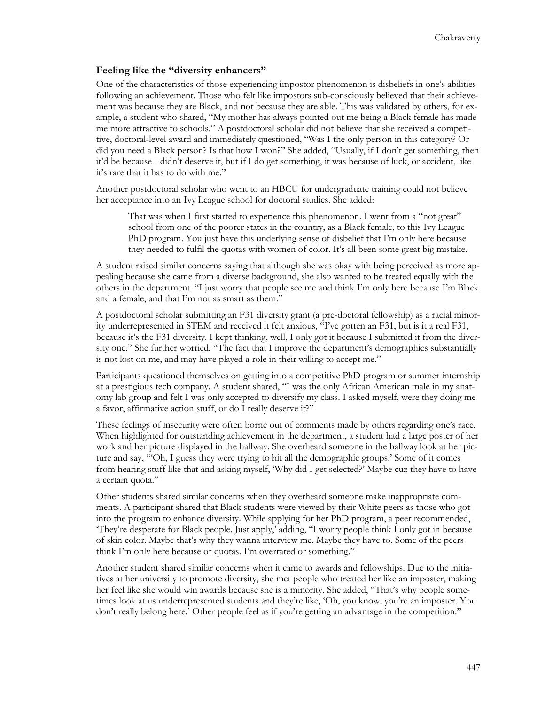#### **Feeling like the "diversity enhancers"**

One of the characteristics of those experiencing impostor phenomenon is disbeliefs in one's abilities following an achievement. Those who felt like impostors sub-consciously believed that their achievement was because they are Black, and not because they are able. This was validated by others, for example, a student who shared, "My mother has always pointed out me being a Black female has made me more attractive to schools." A postdoctoral scholar did not believe that she received a competitive, doctoral-level award and immediately questioned, "Was I the only person in this category? Or did you need a Black person? Is that how I won?" She added, "Usually, if I don't get something, then it'd be because I didn't deserve it, but if I do get something, it was because of luck, or accident, like it's rare that it has to do with me."

Another postdoctoral scholar who went to an HBCU for undergraduate training could not believe her acceptance into an Ivy League school for doctoral studies. She added:

That was when I first started to experience this phenomenon. I went from a "not great" school from one of the poorer states in the country, as a Black female, to this Ivy League PhD program. You just have this underlying sense of disbelief that I'm only here because they needed to fulfil the quotas with women of color. It's all been some great big mistake.

A student raised similar concerns saying that although she was okay with being perceived as more appealing because she came from a diverse background, she also wanted to be treated equally with the others in the department. "I just worry that people see me and think I'm only here because I'm Black and a female, and that I'm not as smart as them."

A postdoctoral scholar submitting an F31 diversity grant (a pre-doctoral fellowship) as a racial minority underrepresented in STEM and received it felt anxious, "I've gotten an F31, but is it a real F31, because it's the F31 diversity. I kept thinking, well, I only got it because I submitted it from the diversity one." She further worried, "The fact that I improve the department's demographics substantially is not lost on me, and may have played a role in their willing to accept me."

Participants questioned themselves on getting into a competitive PhD program or summer internship at a prestigious tech company. A student shared, "I was the only African American male in my anatomy lab group and felt I was only accepted to diversify my class. I asked myself, were they doing me a favor, affirmative action stuff, or do I really deserve it?"

These feelings of insecurity were often borne out of comments made by others regarding one's race. When highlighted for outstanding achievement in the department, a student had a large poster of her work and her picture displayed in the hallway. She overheard someone in the hallway look at her picture and say, "'Oh, I guess they were trying to hit all the demographic groups.' Some of it comes from hearing stuff like that and asking myself, 'Why did I get selected?' Maybe cuz they have to have a certain quota."

Other students shared similar concerns when they overheard someone make inappropriate comments. A participant shared that Black students were viewed by their White peers as those who got into the program to enhance diversity. While applying for her PhD program, a peer recommended, 'They're desperate for Black people. Just apply,' adding, "I worry people think I only got in because of skin color. Maybe that's why they wanna interview me. Maybe they have to. Some of the peers think I'm only here because of quotas. I'm overrated or something."

Another student shared similar concerns when it came to awards and fellowships. Due to the initiatives at her university to promote diversity, she met people who treated her like an imposter, making her feel like she would win awards because she is a minority. She added, "That's why people sometimes look at us underrepresented students and they're like, 'Oh, you know, you're an imposter. You don't really belong here.' Other people feel as if you're getting an advantage in the competition."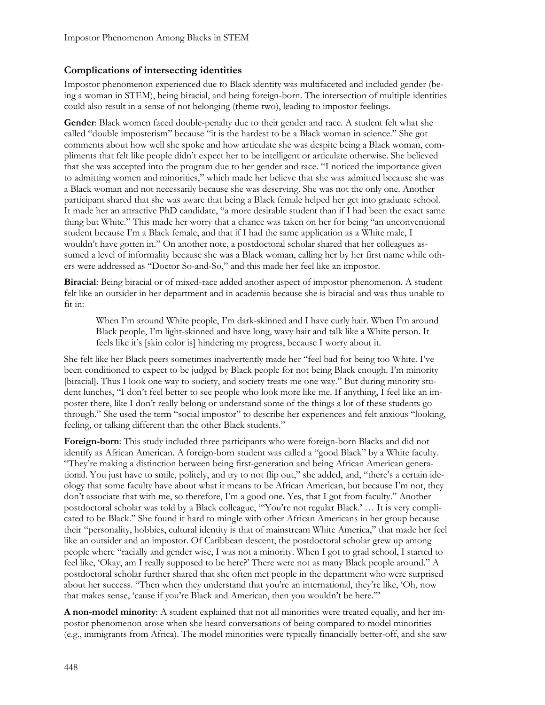#### **Complications of intersecting identities**

Impostor phenomenon experienced due to Black identity was multifaceted and included gender (being a woman in STEM), being biracial, and being foreign-born. The intersection of multiple identities could also result in a sense of not belonging (theme two), leading to impostor feelings.

**Gender**: Black women faced double-penalty due to their gender and race. A student felt what she called "double imposterism" because "it is the hardest to be a Black woman in science." She got comments about how well she spoke and how articulate she was despite being a Black woman, compliments that felt like people didn't expect her to be intelligent or articulate otherwise. She believed that she was accepted into the program due to her gender and race. "I noticed the importance given to admitting women and minorities," which made her believe that she was admitted because she was a Black woman and not necessarily because she was deserving. She was not the only one. Another participant shared that she was aware that being a Black female helped her get into graduate school. It made her an attractive PhD candidate, "a more desirable student than if I had been the exact same thing but White." This made her worry that a chance was taken on her for being "an unconventional student because I'm a Black female, and that if I had the same application as a White male, I wouldn't have gotten in." On another note, a postdoctoral scholar shared that her colleagues assumed a level of informality because she was a Black woman, calling her by her first name while others were addressed as "Doctor So-and-So," and this made her feel like an impostor.

**Biracial**: Being biracial or of mixed-race added another aspect of impostor phenomenon. A student felt like an outsider in her department and in academia because she is biracial and was thus unable to fit in:

When I'm around White people, I'm dark-skinned and I have curly hair. When I'm around Black people, I'm light-skinned and have long, wavy hair and talk like a White person. It feels like it's [skin color is] hindering my progress, because I worry about it.

She felt like her Black peers sometimes inadvertently made her "feel bad for being too White. I've been conditioned to expect to be judged by Black people for not being Black enough. I'm minority [biracial]. Thus I look one way to society, and society treats me one way." But during minority student lunches, "I don't feel better to see people who look more like me. If anything, I feel like an imposter there, like I don't really belong or understand some of the things a lot of these students go through." She used the term "social impostor" to describe her experiences and felt anxious "looking, feeling, or talking different than the other Black students."

**Foreign-born**: This study included three participants who were foreign-born Blacks and did not identify as African American. A foreign-born student was called a "good Black" by a White faculty. "They're making a distinction between being first-generation and being African American generational. You just have to smile, politely, and try to not flip out," she added, and, "there's a certain ideology that some faculty have about what it means to be African American, but because I'm not, they don't associate that with me, so therefore, I'm a good one. Yes, that I got from faculty." Another postdoctoral scholar was told by a Black colleague, "'You're not regular Black.' … It is very complicated to be Black." She found it hard to mingle with other African Americans in her group because their "personality, hobbies, cultural identity is that of mainstream White America," that made her feel like an outsider and an impostor. Of Caribbean descent, the postdoctoral scholar grew up among people where "racially and gender wise, I was not a minority. When I got to grad school, I started to feel like, 'Okay, am I really supposed to be here?' There were not as many Black people around." A postdoctoral scholar further shared that she often met people in the department who were surprised about her success. "Then when they understand that you're an international, they're like, 'Oh, now that makes sense, 'cause if you're Black and American, then you wouldn't be here.'"

**A non-model minority**: A student explained that not all minorities were treated equally, and her impostor phenomenon arose when she heard conversations of being compared to model minorities (e.g., immigrants from Africa). The model minorities were typically financially better-off, and she saw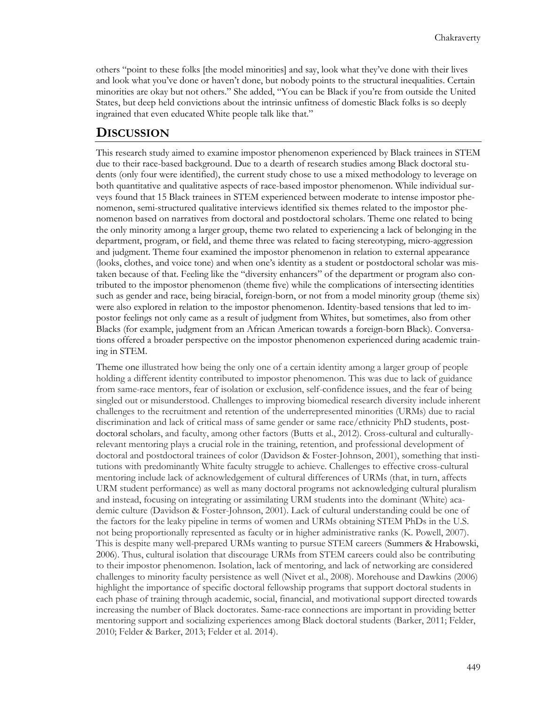others "point to these folks [the model minorities] and say, look what they've done with their lives and look what you've done or haven't done, but nobody points to the structural inequalities. Certain minorities are okay but not others." She added, "You can be Black if you're from outside the United States, but deep held convictions about the intrinsic unfitness of domestic Black folks is so deeply ingrained that even educated White people talk like that."

### **DISCUSSION**

This research study aimed to examine impostor phenomenon experienced by Black trainees in STEM due to their race-based background. Due to a dearth of research studies among Black doctoral students (only four were identified), the current study chose to use a mixed methodology to leverage on both quantitative and qualitative aspects of race-based impostor phenomenon. While individual surveys found that 15 Black trainees in STEM experienced between moderate to intense impostor phenomenon, semi-structured qualitative interviews identified six themes related to the impostor phenomenon based on narratives from doctoral and postdoctoral scholars. Theme one related to being the only minority among a larger group, theme two related to experiencing a lack of belonging in the department, program, or field, and theme three was related to facing stereotyping, micro-aggression and judgment. Theme four examined the impostor phenomenon in relation to external appearance (looks, clothes, and voice tone) and when one's identity as a student or postdoctoral scholar was mistaken because of that. Feeling like the "diversity enhancers" of the department or program also contributed to the impostor phenomenon (theme five) while the complications of intersecting identities such as gender and race, being biracial, foreign-born, or not from a model minority group (theme six) were also explored in relation to the impostor phenomenon. Identity-based tensions that led to impostor feelings not only came as a result of judgment from Whites, but sometimes, also from other Blacks (for example, judgment from an African American towards a foreign-born Black). Conversations offered a broader perspective on the impostor phenomenon experienced during academic training in STEM.

Theme one illustrated how being the only one of a certain identity among a larger group of people holding a different identity contributed to impostor phenomenon. This was due to lack of guidance from same-race mentors, fear of isolation or exclusion, self-confidence issues, and the fear of being singled out or misunderstood. Challenges to improving biomedical research diversity include inherent challenges to the recruitment and retention of the underrepresented minorities (URMs) due to racial discrimination and lack of critical mass of same gender or same race/ethnicity PhD students, postdoctoral scholars, and faculty, among other factors (Butts et al., 2012). Cross-cultural and culturallyrelevant mentoring plays a crucial role in the training, retention, and professional development of doctoral and postdoctoral trainees of color (Davidson & Foster-Johnson, 2001), something that institutions with predominantly White faculty struggle to achieve. Challenges to effective cross-cultural mentoring include lack of acknowledgement of cultural differences of URMs (that, in turn, affects URM student performance) as well as many doctoral programs not acknowledging cultural pluralism and instead, focusing on integrating or assimilating URM students into the dominant (White) academic culture (Davidson & Foster-Johnson, 2001). Lack of cultural understanding could be one of the factors for the leaky pipeline in terms of women and URMs obtaining STEM PhDs in the U.S. not being proportionally represented as faculty or in higher administrative ranks (K. Powell, 2007). This is despite many well-prepared URMs wanting to pursue STEM careers (Summers & Hrabowski, 2006). Thus, cultural isolation that discourage URMs from STEM careers could also be contributing to their impostor phenomenon. Isolation, lack of mentoring, and lack of networking are considered challenges to minority faculty persistence as well (Nivet et al., 2008). Morehouse and Dawkins (2006) highlight the importance of specific doctoral fellowship programs that support doctoral students in each phase of training through academic, social, financial, and motivational support directed towards increasing the number of Black doctorates. Same-race connections are important in providing better mentoring support and socializing experiences among Black doctoral students (Barker, 2011; Felder, 2010; Felder & Barker, 2013; Felder et al. 2014).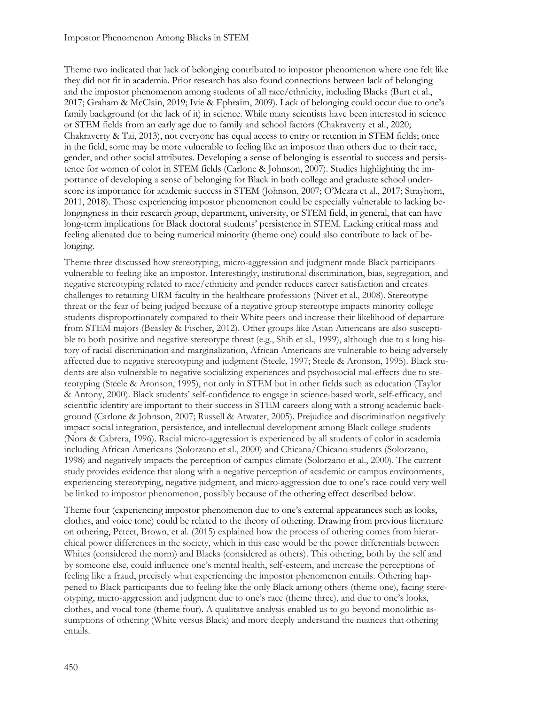Theme two indicated that lack of belonging contributed to impostor phenomenon where one felt like they did not fit in academia. Prior research has also found connections between lack of belonging and the impostor phenomenon among students of all race/ethnicity, including Blacks (Burt et al., 2017; Graham & McClain, 2019; Ivie & Ephraim, 2009). Lack of belonging could occur due to one's family background (or the lack of it) in science. While many scientists have been interested in science or STEM fields from an early age due to family and school factors (Chakraverty et al., 2020; Chakraverty & Tai, 2013), not everyone has equal access to entry or retention in STEM fields; once in the field, some may be more vulnerable to feeling like an impostor than others due to their race, gender, and other social attributes. Developing a sense of belonging is essential to success and persistence for women of color in STEM fields (Carlone & Johnson, 2007). Studies highlighting the importance of developing a sense of belonging for Black in both college and graduate school underscore its importance for academic success in STEM (Johnson, 2007; O'Meara et al., 2017; Strayhorn, 2011, 2018). Those experiencing impostor phenomenon could be especially vulnerable to lacking belongingness in their research group, department, university, or STEM field, in general, that can have long-term implications for Black doctoral students' persistence in STEM. Lacking critical mass and feeling alienated due to being numerical minority (theme one) could also contribute to lack of belonging.

Theme three discussed how stereotyping, micro-aggression and judgment made Black participants vulnerable to feeling like an impostor. Interestingly, institutional discrimination, bias, segregation, and negative stereotyping related to race/ethnicity and gender reduces career satisfaction and creates challenges to retaining URM faculty in the healthcare professions (Nivet et al., 2008). Stereotype threat or the fear of being judged because of a negative group stereotype impacts minority college students disproportionately compared to their White peers and increase their likelihood of departure from STEM majors (Beasley & Fischer, 2012). Other groups like Asian Americans are also susceptible to both positive and negative stereotype threat (e.g., Shih et al., 1999), although due to a long history of racial discrimination and marginalization, African Americans are vulnerable to being adversely affected due to negative stereotyping and judgment (Steele, 1997; Steele & Aronson, 1995). Black students are also vulnerable to negative socializing experiences and psychosocial mal-effects due to stereotyping (Steele & Aronson, 1995), not only in STEM but in other fields such as education (Taylor & Antony, 2000). Black students' self-confidence to engage in science-based work, self-efficacy, and scientific identity are important to their success in STEM careers along with a strong academic background (Carlone & Johnson, 2007; Russell & Atwater, 2005). Prejudice and discrimination negatively impact social integration, persistence, and intellectual development among Black college students (Nora & Cabrera, 1996). Racial micro-aggression is experienced by all students of color in academia including African Americans (Solorzano et al., 2000) and Chicana/Chicano students (Solorzano, 1998) and negatively impacts the perception of campus climate (Solorzano et al., 2000). The current study provides evidence that along with a negative perception of academic or campus environments, experiencing stereotyping, negative judgment, and micro-aggression due to one's race could very well be linked to impostor phenomenon, possibly because of the othering effect described below.

Theme four (experiencing impostor phenomenon due to one's external appearances such as looks, clothes, and voice tone) could be related to the theory of othering. Drawing from previous literature on othering, Peteet, Brown, et al. (2015) explained how the process of othering comes from hierarchical power differences in the society, which in this case would be the power differentials between Whites (considered the norm) and Blacks (considered as others). This othering, both by the self and by someone else, could influence one's mental health, self-esteem, and increase the perceptions of feeling like a fraud, precisely what experiencing the impostor phenomenon entails. Othering happened to Black participants due to feeling like the only Black among others (theme one), facing stereotyping, micro-aggression and judgment due to one's race (theme three), and due to one's looks, clothes, and vocal tone (theme four). A qualitative analysis enabled us to go beyond monolithic assumptions of othering (White versus Black) and more deeply understand the nuances that othering entails.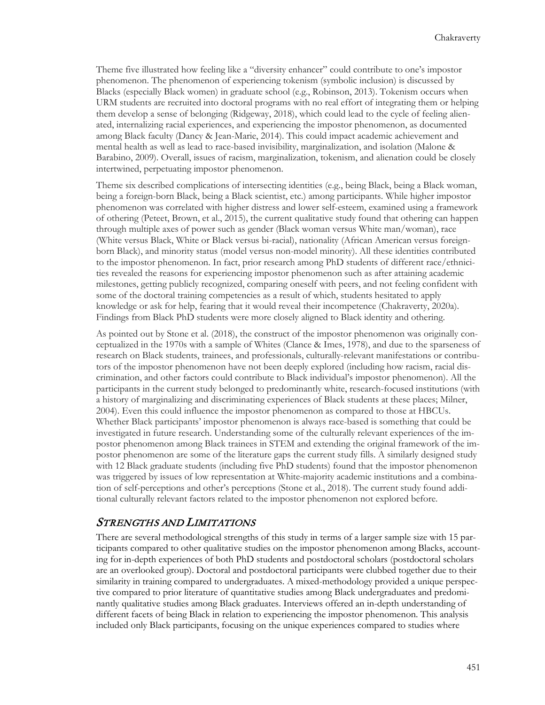Theme five illustrated how feeling like a "diversity enhancer" could contribute to one's impostor phenomenon. The phenomenon of experiencing tokenism (symbolic inclusion) is discussed by Blacks (especially Black women) in graduate school (e.g., Robinson, 2013). Tokenism occurs when URM students are recruited into doctoral programs with no real effort of integrating them or helping them develop a sense of belonging (Ridgeway, 2018), which could lead to the cycle of feeling alienated, internalizing racial experiences, and experiencing the impostor phenomenon, as documented among Black faculty (Dancy & Jean-Marie, 2014). This could impact academic achievement and mental health as well as lead to race-based invisibility, marginalization, and isolation (Malone & Barabino, 2009). Overall, issues of racism, marginalization, tokenism, and alienation could be closely intertwined, perpetuating impostor phenomenon.

Theme six described complications of intersecting identities (e.g., being Black, being a Black woman, being a foreign-born Black, being a Black scientist, etc.) among participants. While higher impostor phenomenon was correlated with higher distress and lower self-esteem, examined using a framework of othering (Peteet, Brown, et al., 2015), the current qualitative study found that othering can happen through multiple axes of power such as gender (Black woman versus White man/woman), race (White versus Black, White or Black versus bi-racial), nationality (African American versus foreignborn Black), and minority status (model versus non-model minority). All these identities contributed to the impostor phenomenon. In fact, prior research among PhD students of different race/ethnicities revealed the reasons for experiencing impostor phenomenon such as after attaining academic milestones, getting publicly recognized, comparing oneself with peers, and not feeling confident with some of the doctoral training competencies as a result of which, students hesitated to apply knowledge or ask for help, fearing that it would reveal their incompetence (Chakraverty, 2020a). Findings from Black PhD students were more closely aligned to Black identity and othering.

As pointed out by Stone et al. (2018), the construct of the impostor phenomenon was originally conceptualized in the 1970s with a sample of Whites (Clance & Imes, 1978), and due to the sparseness of research on Black students, trainees, and professionals, culturally-relevant manifestations or contributors of the impostor phenomenon have not been deeply explored (including how racism, racial discrimination, and other factors could contribute to Black individual's impostor phenomenon). All the participants in the current study belonged to predominantly white, research-focused institutions (with a history of marginalizing and discriminating experiences of Black students at these places; Milner, 2004). Even this could influence the impostor phenomenon as compared to those at HBCUs. Whether Black participants' impostor phenomenon is always race-based is something that could be investigated in future research. Understanding some of the culturally relevant experiences of the impostor phenomenon among Black trainees in STEM and extending the original framework of the impostor phenomenon are some of the literature gaps the current study fills. A similarly designed study with 12 Black graduate students (including five PhD students) found that the impostor phenomenon was triggered by issues of low representation at White-majority academic institutions and a combination of self-perceptions and other's perceptions (Stone et al., 2018). The current study found additional culturally relevant factors related to the impostor phenomenon not explored before.

#### STRENGTHS AND LIMITATIONS

There are several methodological strengths of this study in terms of a larger sample size with 15 participants compared to other qualitative studies on the impostor phenomenon among Blacks, accounting for in-depth experiences of both PhD students and postdoctoral scholars (postdoctoral scholars are an overlooked group). Doctoral and postdoctoral participants were clubbed together due to their similarity in training compared to undergraduates. A mixed-methodology provided a unique perspective compared to prior literature of quantitative studies among Black undergraduates and predominantly qualitative studies among Black graduates. Interviews offered an in-depth understanding of different facets of being Black in relation to experiencing the impostor phenomenon. This analysis included only Black participants, focusing on the unique experiences compared to studies where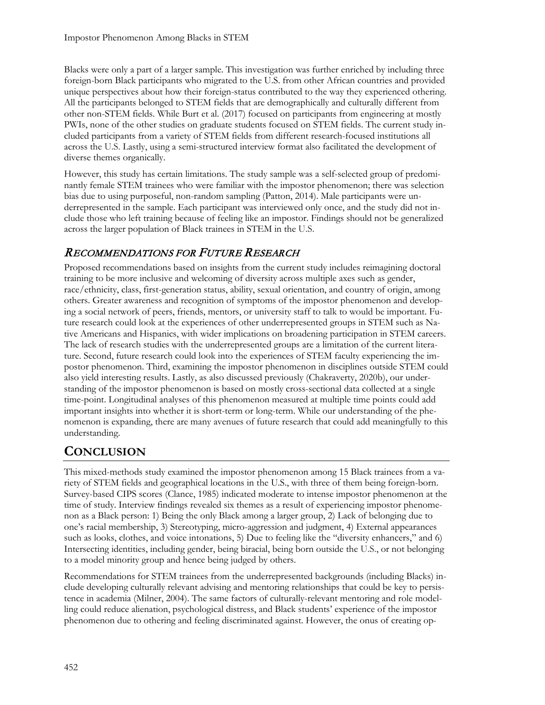Blacks were only a part of a larger sample. This investigation was further enriched by including three foreign-born Black participants who migrated to the U.S. from other African countries and provided unique perspectives about how their foreign-status contributed to the way they experienced othering. All the participants belonged to STEM fields that are demographically and culturally different from other non-STEM fields. While Burt et al. (2017) focused on participants from engineering at mostly PWIs, none of the other studies on graduate students focused on STEM fields. The current study included participants from a variety of STEM fields from different research-focused institutions all across the U.S. Lastly, using a semi-structured interview format also facilitated the development of diverse themes organically.

However, this study has certain limitations. The study sample was a self-selected group of predominantly female STEM trainees who were familiar with the impostor phenomenon; there was selection bias due to using purposeful, non-random sampling (Patton, 2014). Male participants were underrepresented in the sample. Each participant was interviewed only once, and the study did not include those who left training because of feeling like an impostor. Findings should not be generalized across the larger population of Black trainees in STEM in the U.S.

### RECOMMENDATIONS FOR FUTURE RESEARCH

Proposed recommendations based on insights from the current study includes reimagining doctoral training to be more inclusive and welcoming of diversity across multiple axes such as gender, race/ethnicity, class, first-generation status, ability, sexual orientation, and country of origin, among others. Greater awareness and recognition of symptoms of the impostor phenomenon and developing a social network of peers, friends, mentors, or university staff to talk to would be important. Future research could look at the experiences of other underrepresented groups in STEM such as Native Americans and Hispanics, with wider implications on broadening participation in STEM careers. The lack of research studies with the underrepresented groups are a limitation of the current literature. Second, future research could look into the experiences of STEM faculty experiencing the impostor phenomenon. Third, examining the impostor phenomenon in disciplines outside STEM could also yield interesting results. Lastly, as also discussed previously (Chakraverty, 2020b), our understanding of the impostor phenomenon is based on mostly cross-sectional data collected at a single time-point. Longitudinal analyses of this phenomenon measured at multiple time points could add important insights into whether it is short-term or long-term. While our understanding of the phenomenon is expanding, there are many avenues of future research that could add meaningfully to this understanding.

## **CONCLUSION**

This mixed-methods study examined the impostor phenomenon among 15 Black trainees from a variety of STEM fields and geographical locations in the U.S., with three of them being foreign-born. Survey-based CIPS scores (Clance, 1985) indicated moderate to intense impostor phenomenon at the time of study. Interview findings revealed six themes as a result of experiencing impostor phenomenon as a Black person: 1) Being the only Black among a larger group, 2) Lack of belonging due to one's racial membership, 3) Stereotyping, micro-aggression and judgment, 4) External appearances such as looks, clothes, and voice intonations, 5) Due to feeling like the "diversity enhancers," and 6) Intersecting identities, including gender, being biracial, being born outside the U.S., or not belonging to a model minority group and hence being judged by others.

Recommendations for STEM trainees from the underrepresented backgrounds (including Blacks) include developing culturally relevant advising and mentoring relationships that could be key to persistence in academia (Milner, 2004). The same factors of culturally-relevant mentoring and role modelling could reduce alienation, psychological distress, and Black students' experience of the impostor phenomenon due to othering and feeling discriminated against. However, the onus of creating op-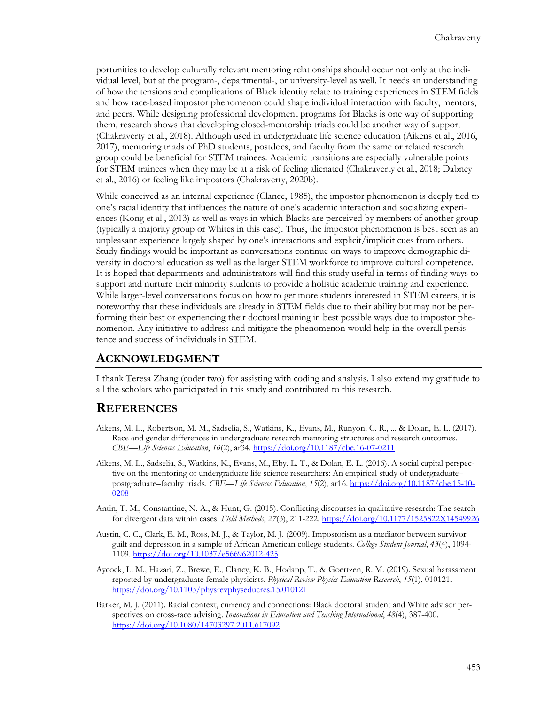portunities to develop culturally relevant mentoring relationships should occur not only at the individual level, but at the program-, departmental-, or university-level as well. It needs an understanding of how the tensions and complications of Black identity relate to training experiences in STEM fields and how race-based impostor phenomenon could shape individual interaction with faculty, mentors, and peers. While designing professional development programs for Blacks is one way of supporting them, research shows that developing closed-mentorship triads could be another way of support (Chakraverty et al., 2018). Although used in undergraduate life science education (Aikens et al., 2016, 2017), mentoring triads of PhD students, postdocs, and faculty from the same or related research group could be beneficial for STEM trainees. Academic transitions are especially vulnerable points for STEM trainees when they may be at a risk of feeling alienated (Chakraverty et al., 2018; Dabney et al., 2016) or feeling like impostors (Chakraverty, 2020b).

While conceived as an internal experience (Clance, 1985), the impostor phenomenon is deeply tied to one's racial identity that influences the nature of one's academic interaction and socializing experiences (Kong et al., 2013) as well as ways in which Blacks are perceived by members of another group (typically a majority group or Whites in this case). Thus, the impostor phenomenon is best seen as an unpleasant experience largely shaped by one's interactions and explicit/implicit cues from others. Study findings would be important as conversations continue on ways to improve demographic diversity in doctoral education as well as the larger STEM workforce to improve cultural competence. It is hoped that departments and administrators will find this study useful in terms of finding ways to support and nurture their minority students to provide a holistic academic training and experience. While larger-level conversations focus on how to get more students interested in STEM careers, it is noteworthy that these individuals are already in STEM fields due to their ability but may not be performing their best or experiencing their doctoral training in best possible ways due to impostor phenomenon. Any initiative to address and mitigate the phenomenon would help in the overall persistence and success of individuals in STEM.

#### **ACKNOWLEDGMENT**

I thank Teresa Zhang (coder two) for assisting with coding and analysis. I also extend my gratitude to all the scholars who participated in this study and contributed to this research.

### **REFERENCES**

- Aikens, M. L., Robertson, M. M., Sadselia, S., Watkins, K., Evans, M., Runyon, C. R., ... & Dolan, E. L. (2017). Race and gender differences in undergraduate research mentoring structures and research outcomes. *CBE—Life Sciences Education*, *16*(2), ar34. [https://doi.org/10.1187/cbe.16](https://doi.org/10.1187/cbe.16-07-0211)-07-0211
- Aikens, M. L., Sadselia, S., Watkins, K., Evans, M., Eby, L. T., & Dolan, E. L. (2016). A social capital perspective on the mentoring of undergraduate life science researchers: An empirical study of undergraduate– postgraduate–faculty triads. *CBE—Life Sciences Education*, *15*(2), ar16. [https://doi.org/10.1187/cbe.15](https://doi.org/10.1187/cbe.15-10-0208)-10- [0208](https://doi.org/10.1187/cbe.15-10-0208)
- Antin, T. M., Constantine, N. A., & Hunt, G. (2015). Conflicting discourses in qualitative research: The search for divergent data within cases. *Field Methods*, *27*(3), 211-222. <https://doi.org/10.1177/1525822X14549926>
- Austin, C. C., Clark, E. M., Ross, M. J., & Taylor, M. J. (2009). Impostorism as a mediator between survivor guilt and depression in a sample of African American college students. *College Student Journal*, *43*(4), 1094- 1109. [https://doi.org/10.1037/e566962012](https://doi.org/10.1037/e566962012-425)-425
- Aycock, L. M., Hazari, Z., Brewe, E., Clancy, K. B., Hodapp, T., & Goertzen, R. M. (2019). Sexual harassment reported by undergraduate female physicists. *Physical Review Physics Education Research*, *15*(1), 010121. <https://doi.org/10.1103/physrevphyseducres.15.010121>
- Barker, M. J. (2011). Racial context, currency and connections: Black doctoral student and White advisor perspectives on cross-race advising. *Innovations in Education and Teaching International*, *48*(4), 387-400. <https://doi.org/10.1080/14703297.2011.617092>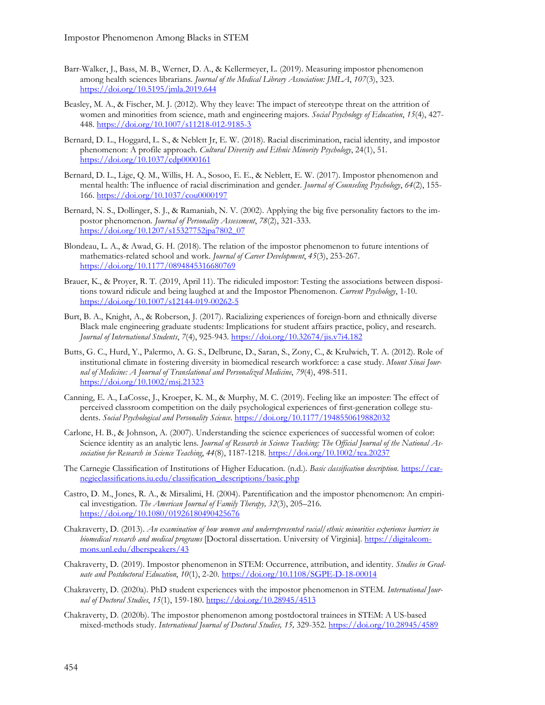- Barr-Walker, J., Bass, M. B., Werner, D. A., & Kellermeyer, L. (2019). Measuring impostor phenomenon among health sciences librarians. *Journal of the Medical Library Association: JMLA*, *107*(3), 323. <https://doi.org/10.5195/jmla.2019.644>
- Beasley, M. A., & Fischer, M. J. (2012). Why they leave: The impact of stereotype threat on the attrition of women and minorities from science, math and engineering majors. *Social Psychology of Education*, *15*(4), 427- 448. [https://doi.org/10.1007/s11218](https://doi.org/10.1007/s11218-012-9185-3)-012-9185-3
- Bernard, D. L., Hoggard, L. S., & Neblett Jr, E. W. (2018). Racial discrimination, racial identity, and impostor phenomenon: A profile approach. *Cultural Diversity and Ethnic Minority Psychology*, 24(1), 51. <https://doi.org/10.1037/cdp0000161>
- Bernard, D. L., Lige, Q. M., Willis, H. A., Sosoo, E. E., & Neblett, E. W. (2017). Impostor phenomenon and mental health: The influence of racial discrimination and gender. *Journal of Counseling Psychology*, *64*(2), 155- 166. <https://doi.org/10.1037/cou0000197>
- Bernard, N. S., Dollinger, S. J., & Ramaniah, N. V. (2002). Applying the big five personality factors to the impostor phenomenon. *Journal of Personality Assessment*, *78*(2), 321-333. [https://doi.org/10.1207/s15327752jpa7802\\_07](https://doi.org/10.1207/s15327752jpa7802_07)
- Blondeau, L. A., & Awad, G. H. (2018). The relation of the impostor phenomenon to future intentions of mathematics-related school and work. *Journal of Career Development*, *45*(3), 253-267. <https://doi.org/10.1177/0894845316680769>
- Brauer, K., & Proyer, R. T. (2019, April 11). The ridiculed impostor: Testing the associations between dispositions toward ridicule and being laughed at and the Impostor Phenomenon. *Current Psychology*, 1-10. [https://doi.org/10.1007/s12144](https://doi.org/10.1007/s12144-019-00262-5)-019-00262-5
- Burt, B. A., Knight, A., & Roberson, J. (2017). Racializing experiences of foreign-born and ethnically diverse Black male engineering graduate students: Implications for student affairs practice, policy, and research. *Journal of International Students*, *7*(4), 925-943. <https://doi.org/10.32674/jis.v7i4.182>
- Butts, G. C., Hurd, Y., Palermo, A. G. S., Delbrune, D., Saran, S., Zony, C., & Krulwich, T. A. (2012). Role of institutional climate in fostering diversity in biomedical research workforce: a case study. *Mount Sinai Journal of Medicine: A Journal of Translational and Personalized Medicine*, *79*(4), 498-511. <https://doi.org/10.1002/msj.21323>
- Canning, E. A., LaCosse, J., Kroeper, K. M., & Murphy, M. C. (2019). Feeling like an imposter: The effect of perceived classroom competition on the daily psychological experiences of first-generation college students. *Social Psychological and Personality Science*. <https://doi.org/10.1177/1948550619882032>
- Carlone, H. B., & Johnson, A. (2007). Understanding the science experiences of successful women of color: Science identity as an analytic lens. *Journal of Research in Science Teaching: The Official Journal of the National Association for Research in Science Teaching*, *44*(8), 1187-1218. <https://doi.org/10.1002/tea.20237>
- The Carnegie Classification of Institutions of Higher Education. (n.d.). *Basic classification description*. [https://car](https://carnegieclassifications.iu.edu/classification_descriptions/basic.php)[negieclassifications.iu.edu/classification\\_descriptions/basic.php](https://carnegieclassifications.iu.edu/classification_descriptions/basic.php)
- Castro, D. M., Jones, R. A., & Mirsalimi, H. (2004). Parentification and the impostor phenomenon: An empirical investigation. *The American Journal of Family Therapy, 32*(3), 205–216. <https://doi.org/10.1080/01926180490425676>
- Chakraverty, D. (2013). *An examination of how women and underrepresented racial/ethnic minorities experience barriers in biomedical research and medical programs* [Doctoral dissertation. University of Virginia]. [https://digitalcom](https://digitalcommons.unl.edu/dberspeakers/43)[mons.unl.edu/dberspeakers/43](https://digitalcommons.unl.edu/dberspeakers/43)
- Chakraverty, D. (2019). Impostor phenomenon in STEM: Occurrence, attribution, and identity. *Studies in Graduate and Postdoctoral Education*, *10*(1), 2-20. [https://doi.org/10.1108/SGPE](https://doi.org/10.1108/SGPE-D-18-00014)-D-18-00014
- Chakraverty, D. (2020a). PhD student experiences with the impostor phenomenon in STEM. *International Journal of Doctoral Studies*, *15*(1), 159-180. <https://doi.org/10.28945/4513>
- Chakraverty, D. (2020b). The impostor phenomenon among postdoctoral trainees in STEM: A US-based mixed-methods study. *International Journal of Doctoral Studies, 15,* 329-352. <https://doi.org/10.28945/4589>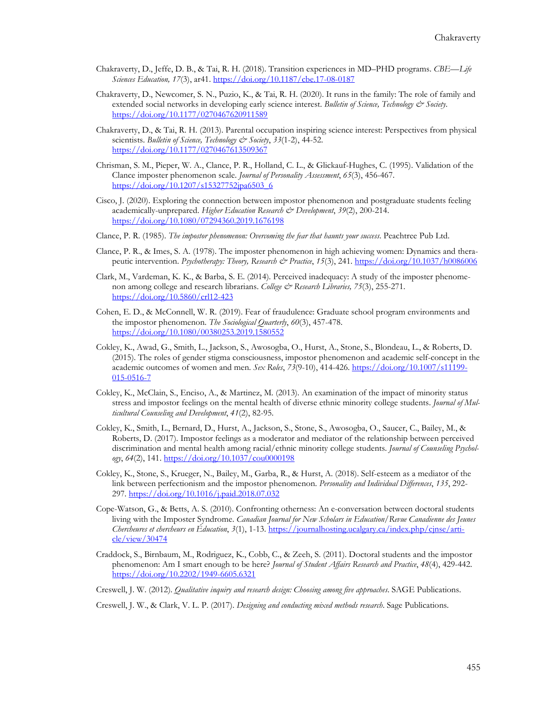- Chakraverty, D., Jeffe, D. B., & Tai, R. H. (2018). Transition experiences in MD–PHD programs. *CBE—Life Sciences Education, 17*(3), ar41. [https://doi.org/10.1187/cbe.17](https://doi.org/10.1187/cbe.17-08-0187)-08-0187
- Chakraverty, D., Newcomer, S. N., Puzio, K., & Tai, R. H. (2020). It runs in the family: The role of family and extended social networks in developing early science interest. *Bulletin of Science, Technology & Society*. <https://doi.org/10.1177/0270467620911589>
- Chakraverty, D., & Tai, R. H. (2013). Parental occupation inspiring science interest: Perspectives from physical scientists. *Bulletin of Science, Technology & Society*, *33*(1-2), 44-52. <https://doi.org/10.1177/0270467613509367>
- Chrisman, S. M., Pieper, W. A., Clance, P. R., Holland, C. L., & Glickauf-Hughes, C. (1995). Validation of the Clance imposter phenomenon scale. *Journal of Personality Assessment*, *65*(3), 456-467. [https://doi.org/10.1207/s15327752jpa6503\\_6](https://doi.org/10.1207/s15327752jpa6503_6)
- Cisco, J. (2020). Exploring the connection between impostor phenomenon and postgraduate students feeling academically-unprepared. *Higher Education Research & Development*, 39(2), 200-214. <https://doi.org/10.1080/07294360.2019.1676198>
- Clance, P. R. (1985). *The impostor phenomenon: Overcoming the fear that haunts your success*. Peachtree Pub Ltd.
- Clance, P. R., & Imes, S. A. (1978). The imposter phenomenon in high achieving women: Dynamics and therapeutic intervention. *Psychotherapy: Theory, Research & Practice*, *15*(3), 241. <https://doi.org/10.1037/h0086006>
- Clark, M., Vardeman, K. K., & Barba, S. E. (2014). Perceived inadequacy: A study of the imposter phenomenon among college and research librarians. *College & Research Libraries, 75*(3), 255-271. [https://doi.org/10.5860/crl12](https://doi.org/10.5860/crl12-423)-423
- Cohen, E. D., & McConnell, W. R. (2019). Fear of fraudulence: Graduate school program environments and the impostor phenomenon. *The Sociological Quarterly*, *60*(3), 457-478. <https://doi.org/10.1080/00380253.2019.1580552>
- Cokley, K., Awad, G., Smith, L., Jackson, S., Awosogba, O., Hurst, A., Stone, S., Blondeau, L., & Roberts, D. (2015). The roles of gender stigma consciousness, impostor phenomenon and academic self-concept in the academic outcomes of women and men. *Sex Roles*, *73*(9-10), 414-426. [https://doi.org/10.1007/s11199](https://doi.org/10.1007/s11199-015-0516-7)- 015-[0516](https://doi.org/10.1007/s11199-015-0516-7)-7
- Cokley, K., McClain, S., Enciso, A., & Martinez, M. (2013). An examination of the impact of minority status stress and impostor feelings on the mental health of diverse ethnic minority college students. *Journal of Multicultural Counseling and Development*, *41*(2), 82-95.
- Cokley, K., Smith, L., Bernard, D., Hurst, A., Jackson, S., Stone, S., Awosogba, O., Saucer, C., Bailey, M., & Roberts, D. (2017). Impostor feelings as a moderator and mediator of the relationship between perceived discrimination and mental health among racial/ethnic minority college students. *Journal of Counseling Psychology*, *64*(2), 141. <https://doi.org/10.1037/cou0000198>
- Cokley, K., Stone, S., Krueger, N., Bailey, M., Garba, R., & Hurst, A. (2018). Self-esteem as a mediator of the link between perfectionism and the impostor phenomenon. *Personality and Individual Differences*, *135*, 292- 297. <https://doi.org/10.1016/j.paid.2018.07.032>
- Cope-Watson, G., & Betts, A. S. (2010). Confronting otherness: An e-conversation between doctoral students living with the Imposter Syndrome. *Canadian Journal for New Scholars in Education/Revue Canadienne des Jeunes Chercheures et chercheurs en Éducation*, *3*(1), 1-13[. https://journalhosting.ucalgary.ca/index.php/cjnse/arti](https://journalhosting.ucalgary.ca/index.php/cjnse/article/view/30474)[cle/view/30474](https://journalhosting.ucalgary.ca/index.php/cjnse/article/view/30474)
- Craddock, S., Birnbaum, M., Rodriguez, K., Cobb, C., & Zeeh, S. (2011). Doctoral students and the impostor phenomenon: Am I smart enough to be here? *Journal of Student Affairs Research and Practice*, *48*(4), 429-442. [https://doi.org/10.2202/1949](https://doi.org/10.2202/1949-6605.6321)-6605.6321

Creswell, J. W. (2012). *Qualitative inquiry and research design: Choosing among five approaches*. SAGE Publications.

Creswell, J. W., & Clark, V. L. P. (2017). *Designing and conducting mixed methods research*. Sage Publications.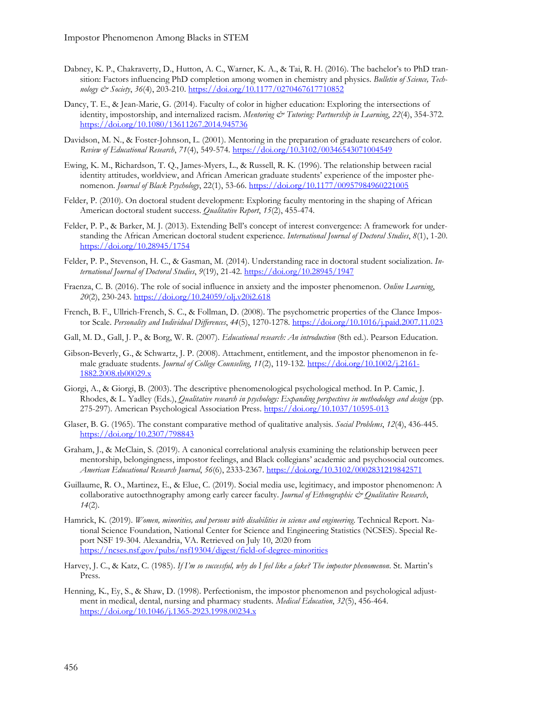- Dabney, K. P., Chakraverty, D., Hutton, A. C., Warner, K. A., & Tai, R. H. (2016). The bachelor's to PhD transition: Factors influencing PhD completion among women in chemistry and physics. *Bulletin of Science, Technology & Society*, *36*(4), 203-210. <https://doi.org/10.1177/0270467617710852>
- Dancy, T. E., & Jean-Marie, G. (2014). Faculty of color in higher education: Exploring the intersections of identity, impostorship, and internalized racism. *Mentoring & Tutoring: Partnership in Learning*, *22*(4), 354-372. <https://doi.org/10.1080/13611267.2014.945736>
- Davidson, M. N., & Foster-Johnson, L. (2001). Mentoring in the preparation of graduate researchers of color. *Review of Educational Research*, *71*(4), 549-574. <https://doi.org/10.3102/00346543071004549>
- Ewing, K. M., Richardson, T. Q., James-Myers, L., & Russell, R. K. (1996). The relationship between racial identity attitudes, worldview, and African American graduate students' experience of the imposter phenomenon. *Journal of Black Psychology*, 22(1), 53-66.<https://doi.org/10.1177/00957984960221005>
- Felder, P. (2010). On doctoral student development: Exploring faculty mentoring in the shaping of African American doctoral student success. *Qualitative Report*, *15*(2), 455-474.
- Felder, P. P., & Barker, M. J. (2013). Extending Bell's concept of interest convergence: A framework for understanding the African American doctoral student experience. *International Journal of Doctoral Studies*, *8*(1), 1-20. <https://doi.org/10.28945/1754>
- Felder, P. P., Stevenson, H. C., & Gasman, M. (2014). Understanding race in doctoral student socialization. *International Journal of Doctoral Studies*, *9*(19), 21-42. <https://doi.org/10.28945/1947>
- Fraenza, C. B. (2016). The role of social influence in anxiety and the imposter phenomenon. *Online Learning*, *20*(2), 230-243. <https://doi.org/10.24059/olj.v20i2.618>
- French, B. F., Ullrich-French, S. C., & Follman, D. (2008). The psychometric properties of the Clance Impostor Scale. *Personality and Individual Differences*, *44*(5), 1270-1278. <https://doi.org/10.1016/j.paid.2007.11.023>
- Gall, M. D., Gall, J. P., & Borg, W. R. (2007). *Educational research: An introduction* (8th ed.). Pearson Education.
- Gibson-Beverly, G., & Schwartz, J. P. (2008). Attachment, entitlement, and the impostor phenomenon in female graduate students. *Journal of College Counseling*, *11*(2), 119-132. [https://doi.org/10.1002/j.2161](https://doi.org/10.1002/j.2161-1882.2008.tb00029.x)- [1882.2008.tb00029.x](https://doi.org/10.1002/j.2161-1882.2008.tb00029.x)
- Giorgi, A., & Giorgi, B. (2003). The descriptive phenomenological psychological method. In P. Camic, J. Rhodes, & L. Yadley (Eds.), *Qualitative research in psychology: Expanding perspectives in methodology and design* (pp. 275-297). American Psychological Association Press[. https://doi.org/10.1037/10595](https://doi.org/10.1037/10595-013)-013
- Glaser, B. G. (1965). The constant comparative method of qualitative analysis. *Social Problems*, *12*(4), 436-445. <https://doi.org/10.2307/798843>
- Graham, J., & McClain, S. (2019). A canonical correlational analysis examining the relationship between peer mentorship, belongingness, impostor feelings, and Black collegians' academic and psychosocial outcomes. *American Educational Research Journal*, *56*(6), 2333-2367. <https://doi.org/10.3102/0002831219842571>
- Guillaume, R. O., Martinez, E., & Elue, C. (2019). Social media use, legitimacy, and impostor phenomenon: A collaborative autoethnography among early career faculty. *Journal of Ethnographic & Qualitative Research*, *14*(2).
- Hamrick, K. (2019). *Women, minorities, and persons with disabilities in science and engineering*. Technical Report. National Science Foundation, National Center for Science and Engineering Statistics (NCSES). Special Report NSF 19-304. Alexandria, VA. Retrieved on July 10, 2020 from [https://ncses.nsf.gov/pubs/nsf19304/digest/field](https://ncses.nsf.gov/pubs/nsf19304/digest/field-of-degree-minorities)-of-degree-minorities
- Harvey, J. C., & Katz, C. (1985). *If I'm so successful, why do I feel like a fake? The impostor phenomenon*. St. Martin's Press.
- Henning, K., Ey, S., & Shaw, D. (1998). Perfectionism, the impostor phenomenon and psychological adjustment in medical, dental, nursing and pharmacy students. *Medical Education*, *32*(5), 456-464. [https://doi.org/10.1046/j.1365](https://doi.org/10.1046/j.1365-2923.1998.00234.x)-2923.1998.00234.x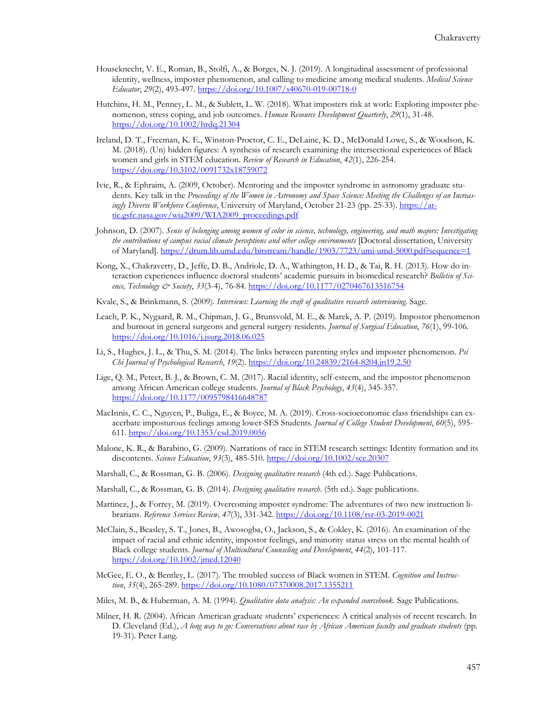- Houseknecht, V. E., Roman, B., Stolfi, A., & Borges, N. J. (2019). A longitudinal assessment of professional identity, wellness, imposter phenomenon, and calling to medicine among medical students. *Medical Science Educator*, *29*(2), 493-497. [https://doi.org/10.1007/s40670](https://doi.org/10.1007/s40670-019-00718-0)-019-00718-0
- Hutchins, H. M., Penney, L. M., & Sublett, L. W. (2018). What imposters risk at work: Exploring imposter phenomenon, stress coping, and job outcomes. *Human Resource Development Quarterly*, *29*(1), 31-48. <https://doi.org/10.1002/hrdq.21304>
- Ireland, D. T., Freeman, K. E., Winston-Proctor, C. E., DeLaine, K. D., McDonald Lowe, S., & Woodson, K. M. (2018). (Un) hidden figures: A synthesis of research examining the intersectional experiences of Black women and girls in STEM education. *Review of Research in Education*, *42*(1), 226-254. <https://doi.org/10.3102/0091732x18759072>
- Ivie, R., & Ephraim, A. (2009, October). Mentoring and the imposter syndrome in astronomy graduate students. Key talk in the *Proceedings of the Women in Astronomy and Space Science: Meeting the Challenges of an Increas*ingly Diverse Workforce Conference, University of Maryland, October 21-23 (pp. 25-33). [https://at](https://attic.gsfc.nasa.gov/wia2009/WIA2009_proceedings.pdf)[tic.gsfc.nasa.gov/wia2009/WIA2009\\_proceedings.pdf](https://attic.gsfc.nasa.gov/wia2009/WIA2009_proceedings.pdf)
- Johnson, D. (2007). *Sense of belonging among women of color in science, technology, engineering, and math majors: Investigating the contributions of campus racial climate perceptions and other college environments* [Doctoral dissertation, University of Maryland]. [https://drum.lib.umd.edu/bitstream/handle/1903/7723/umi](https://drum.lib.umd.edu/bitstream/handle/1903/7723/umi-umd-5000.pdf?sequence=1)-umd-5000.pdf?sequence=1
- Kong, X., Chakraverty, D., Jeffe, D. B., Andriole, D. A., Wathington, H. D., & Tai, R. H. (2013). How do interaction experiences influence doctoral students' academic pursuits in biomedical research? *Bulletin of Science, Technology & Society*, *33*(3-4), 76-84. <https://doi.org/10.1177/0270467613516754>
- Kvale, S., & Brinkmann, S. (2009). *Interviews: Learning the craft of qualitative research interviewing*. Sage.
- Leach, P. K., Nygaard, R. M., Chipman, J. G., Brunsvold, M. E., & Marek, A. P. (2019). Impostor phenomenon and burnout in general surgeons and general surgery residents. *Journal of Surgical Education*, *76*(1), 99-106. <https://doi.org/10.1016/j.jsurg.2018.06.025>
- Li, S., Hughes, J. L., & Thu, S. M. (2014). The links between parenting styles and imposter phenomenon. *Psi Chi Journal of Psychological Research*, *19*(2). [https://doi.org/10.24839/2164](https://doi.org/10.24839/2164-8204.jn19.2.50)-8204.jn19.2.50
- Lige, Q. M., Peteet, B. J., & Brown, C. M. (2017). Racial identity, self-esteem, and the impostor phenomenon among African American college students. *Journal of Black Psychology*, *43*(4), 345-357. <https://doi.org/10.1177/0095798416648787>
- MacInnis, C. C., Nguyen, P., Buliga, E., & Boyce, M. A. (2019). Cross-socioeconomic class friendships can exacerbate imposturous feelings among lower-SES Students. *Journal of College Student Development*, *60*(5), 595- 611. <https://doi.org/10.1353/csd.2019.0056>
- Malone, K. R., & Barabino, G. (2009). Narrations of race in STEM research settings: Identity formation and its discontents. *Science Education*, *93*(3), 485-510. <https://doi.org/10.1002/sce.20307>
- Marshall, C., & Rossman, G. B. (2006). *Designing qualitative research* (4th ed.). Sage Publications.
- Marshall, C., & Rossman, G. B. (2014). *Designing qualitative research*. (5th ed.). Sage publications.
- Martinez, J., & Forrey, M. (2019). Overcoming imposter syndrome: The adventures of two new instruction librarians. *Reference Services Review, 47*(3), 331-342. [https://doi.org/10.1108/rsr](https://doi.org/10.1108/rsr-03-2019-0021)-03-2019-0021
- McClain, S., Beasley, S. T., Jones, B., Awosogba, O., Jackson, S., & Cokley, K. (2016). An examination of the impact of racial and ethnic identity, impostor feelings, and minority status stress on the mental health of Black college students. *Journal of Multicultural Counseling and Development*, *44*(2), 101-117. <https://doi.org/10.1002/jmcd.12040>
- McGee, E. O., & Bentley, L. (2017). The troubled success of Black women in STEM. *Cognition and Instruction*, *35*(4), 265-289. <https://doi.org/10.1080/07370008.2017.1355211>
- Miles, M. B., & Huberman, A. M. (1994). *Qualitative data analysis: An expanded sourcebook*. Sage Publications.
- Milner, H. R. (2004). African American graduate students' experiences: A critical analysis of recent research. In D. Cleveland (Ed.), *A long way to go: Conversations about race by African American faculty and graduate students* (pp. 19-31). Peter Lang.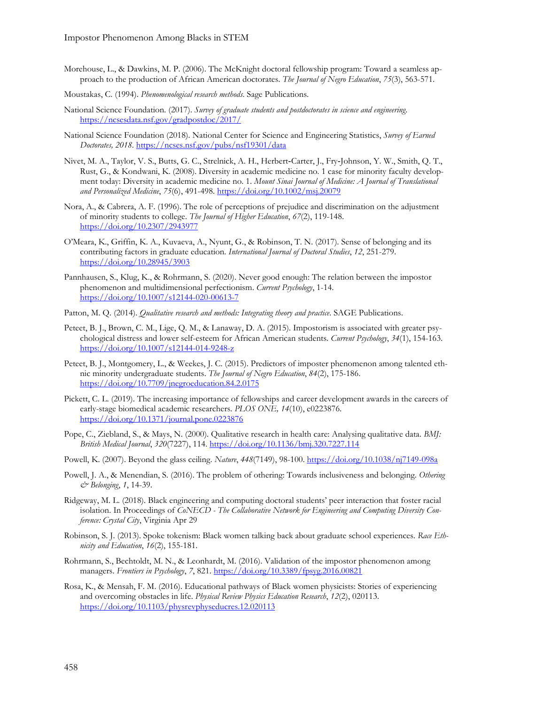- Morehouse, L., & Dawkins, M. P. (2006). The McKnight doctoral fellowship program: Toward a seamless approach to the production of African American doctorates. *The Journal of Negro Education*, *75*(3), 563-571.
- Moustakas, C. (1994). *Phenomenological research methods*. Sage Publications.
- National Science Foundation. (2017). *Survey of graduate students and postdoctorates in science and engineering*. <https://ncsesdata.nsf.gov/gradpostdoc/2017/>
- National Science Foundation (2018). National Center for Science and Engineering Statistics, *Survey of Earned Doctorates, 2018*.<https://ncses.nsf.gov/pubs/nsf19301/data>
- Nivet, M. A., Taylor, V. S., Butts, G. C., Strelnick, A. H., Herbert‐Carter, J., Fry‐Johnson, Y. W., Smith, Q. T., Rust, G., & Kondwani, K. (2008). Diversity in academic medicine no. 1 case for minority faculty development today: Diversity in academic medicine no. 1. *Mount Sinai Journal of Medicine: A Journal of Translational and Personalized Medicine*, *75*(6), 491-498. <https://doi.org/10.1002/msj.20079>
- Nora, A., & Cabrera, A. F. (1996). The role of perceptions of prejudice and discrimination on the adjustment of minority students to college. *The Journal of Higher Education*, *67*(2), 119-148. <https://doi.org/10.2307/2943977>
- O'Meara, K., Griffin, K. A., Kuvaeva, A., Nyunt, G., & Robinson, T. N. (2017). Sense of belonging and its contributing factors in graduate education. *International Journal of Doctoral Studies*, *12*, 251-279. <https://doi.org/10.28945/3903>
- Pannhausen, S., Klug, K., & Rohrmann, S. (2020). Never good enough: The relation between the impostor phenomenon and multidimensional perfectionism. *Current Psychology*, 1-14. [https://doi.org/10.1007/s12144](https://doi.org/10.1007/s12144-020-00613-7)-020-00613-7
- Patton, M. Q. (2014). *Qualitative research and methods: Integrating theory and practice*. SAGE Publications.
- Peteet, B. J., Brown, C. M., Lige, Q. M., & Lanaway, D. A. (2015). Impostorism is associated with greater psychological distress and lower self-esteem for African American students. *Current Psychology*, *34*(1), 154-163. [https://doi.org/10.1007/s12144](https://doi.org/10.1007/s12144-014-9248-z)-014-9248-z
- Peteet, B. J., Montgomery, L., & Weekes, J. C. (2015). Predictors of imposter phenomenon among talented ethnic minority undergraduate students. *The Journal of Negro Education*, *84*(2), 175-186. <https://doi.org/10.7709/jnegroeducation.84.2.0175>
- Pickett, C. L. (2019). The increasing importance of fellowships and career development awards in the careers of early-stage biomedical academic researchers. *PLOS ONE, 14*(10), e0223876. <https://doi.org/10.1371/journal.pone.0223876>
- Pope, C., Ziebland, S., & Mays, N. (2000). Qualitative research in health care: Analysing qualitative data. *BMJ: British Medical Journal*, *320*(7227), 114. <https://doi.org/10.1136/bmj.320.7227.114>
- Powell, K. (2007). Beyond the glass ceiling. *Nature*, *448*(7149), 98-100. [https://doi.org/10.1038/nj7149](https://doi.org/10.1038/nj7149-098a)-098a
- Powell, J. A., & Menendian, S. (2016). The problem of othering: Towards inclusiveness and belonging. *Othering & Belonging*, *1*, 14-39.
- Ridgeway, M. L. (2018). Black engineering and computing doctoral students' peer interaction that foster racial isolation. In Proceedings of *CoNECD - The Collaborative Network for Engineering and Computing Diversity Conference: Crystal City*, Virginia Apr 29
- Robinson, S. J. (2013). Spoke tokenism: Black women talking back about graduate school experiences. *Race Ethnicity and Education*, *16*(2), 155-181.
- Rohrmann, S., Bechtoldt, M. N., & Leonhardt, M. (2016). Validation of the impostor phenomenon among managers. *Frontiers in Psychology*, *7*, 821. <https://doi.org/10.3389/fpsyg.2016.00821>
- Rosa, K., & Mensah, F. M. (2016). Educational pathways of Black women physicists: Stories of experiencing and overcoming obstacles in life. *Physical Review Physics Education Research*, *12*(2), 020113. <https://doi.org/10.1103/physrevphyseducres.12.020113>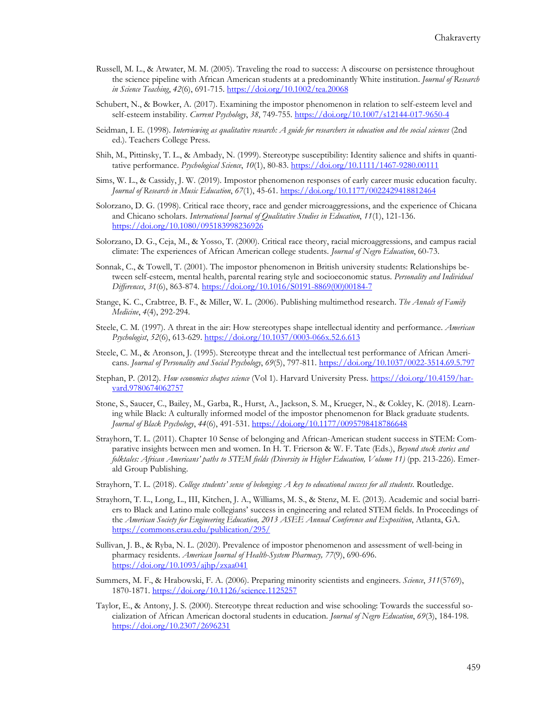- Russell, M. L., & Atwater, M. M. (2005). Traveling the road to success: A discourse on persistence throughout the science pipeline with African American students at a predominantly White institution. *Journal of Research in Science Teaching*, *42*(6), 691-715. <https://doi.org/10.1002/tea.20068>
- Schubert, N., & Bowker, A. (2017). Examining the impostor phenomenon in relation to self-esteem level and self-esteem instability. *Current Psychology*, *38*, 749-755. [https://doi.org/10.1007/s12144](https://doi.org/10.1007/s12144-017-9650-4)-017-9650-4
- Seidman, I. E. (1998). *Interviewing as qualitative research: A guide for researchers in education and the social sciences* (2nd ed.). Teachers College Press.
- Shih, M., Pittinsky, T. L., & Ambady, N. (1999). Stereotype susceptibility: Identity salience and shifts in quantitative performance. *Psychological Science*, *10*(1), 80-83. [https://doi.org/10.1111/1467](https://doi.org/10.1111/1467-9280.00111)-9280.00111
- Sims, W. L., & Cassidy, J. W. (2019). Impostor phenomenon responses of early career music education faculty. *Journal of Research in Music Education*, *67*(1), 45-61. <https://doi.org/10.1177/0022429418812464>
- Solorzano, D. G. (1998). Critical race theory, race and gender microaggressions, and the experience of Chicana and Chicano scholars. *International Journal of Qualitative Studies in Education*, *11*(1), 121-136. <https://doi.org/10.1080/095183998236926>
- Solorzano, D. G., Ceja, M., & Yosso, T. (2000). Critical race theory, racial microaggressions, and campus racial climate: The experiences of African American college students. *Journal of Negro Education*, 60-73.
- Sonnak, C., & Towell, T. (2001). The impostor phenomenon in British university students: Relationships between self-esteem, mental health, parental rearing style and socioeconomic status. *Personality and Individual Differences*, *31*(6), 863-874. [https://doi.org/10.1016/S0191](https://doi.org/10.1016/S0191-8869(00)00184-7)-8869(00)00184-7
- Stange, K. C., Crabtree, B. F., & Miller, W. L. (2006). Publishing multimethod research. *The Annals of Family Medicine*, *4*(4), 292-294.
- Steele, C. M. (1997). A threat in the air: How stereotypes shape intellectual identity and performance. *American Psychologist*, *52*(6), 613-629. [https://doi.org/10.1037/0003](https://doi.org/10.1037/0003-066x.52.6.613)-066x.52.6.613
- Steele, C. M., & Aronson, J. (1995). Stereotype threat and the intellectual test performance of African Americans. *Journal of Personality and Social Psychology*, *69*(5), 797-811. [https://doi.org/10.1037/0022](https://doi.org/10.1037/0022-3514.69.5.797)-3514.69.5.797
- Stephan, P. (2012). *How economics shapes science* (Vol 1). Harvard University Press[. https://doi.org/10.4159/har](https://doi.org/10.4159/harvard.9780674062757)[vard.9780674062757](https://doi.org/10.4159/harvard.9780674062757)
- Stone, S., Saucer, C., Bailey, M., Garba, R., Hurst, A., Jackson, S. M., Krueger, N., & Cokley, K. (2018). Learning while Black: A culturally informed model of the impostor phenomenon for Black graduate students. *Journal of Black Psychology*, *44*(6), 491-531. <https://doi.org/10.1177/0095798418786648>
- Strayhorn, T. L. (2011). Chapter 10 Sense of belonging and African-American student success in STEM: Comparative insights between men and women. In H. T. Frierson & W. F. Tate (Eds.), *Beyond stock stories and folktales: African Americans' paths to STEM fields (Diversity in Higher Education, Volume 11)* (pp. 213-226). Emerald Group Publishing.
- Strayhorn, T. L. (2018). *College students' sense of belonging: A key to educational success for all students*. Routledge.
- Strayhorn, T. L., Long, L., III, Kitchen, J. A., Williams, M. S., & Stenz, M. E. (2013). Academic and social barriers to Black and Latino male collegians' success in engineering and related STEM fields. In Proceedings of the *American Society for Engineering Education, 2013 ASEE Annual Conference and Exposition*, Atlanta, GA. <https://commons.erau.edu/publication/295/>
- Sullivan, J. B., & Ryba, N. L. (2020). Prevalence of impostor phenomenon and assessment of well-being in pharmacy residents. *American Journal of Health-System Pharmacy, 77*(9), 690-696. <https://doi.org/10.1093/ajhp/zxaa041>
- Summers, M. F., & Hrabowski, F. A. (2006). Preparing minority scientists and engineers. *Science*, *311*(5769), 1870-1871. <https://doi.org/10.1126/science.1125257>
- Taylor, E., & Antony, J. S. (2000). Stereotype threat reduction and wise schooling: Towards the successful socialization of African American doctoral students in education. *Journal of Negro Education*, *69*(3), 184-198. <https://doi.org/10.2307/2696231>